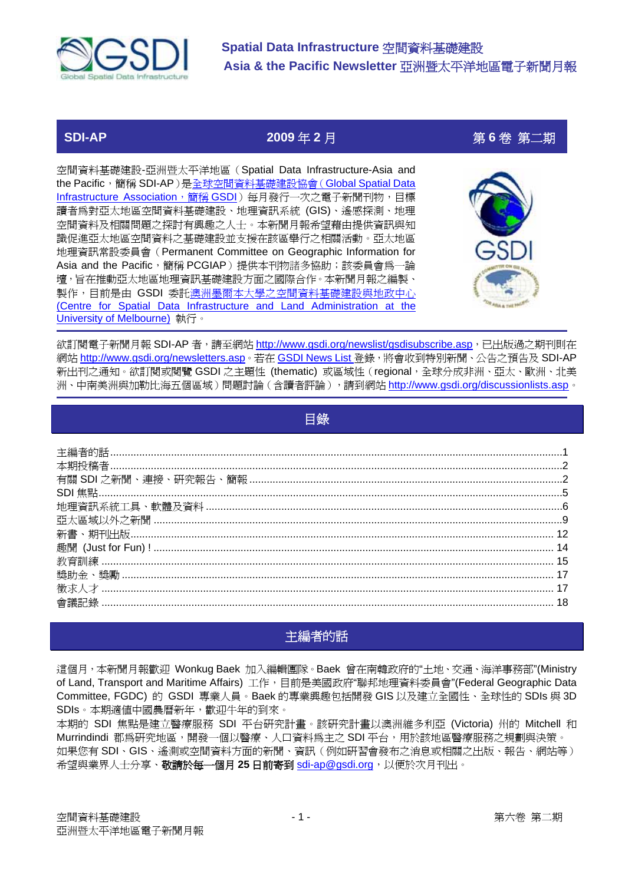

# **SDI-AP 2009** 年 **2** 月第 **6** 卷 第二期

空間資料基礎建設-亞洲暨太平洋地區(Spatial Data Infrastructure-Asia and the Pacific,簡稱 SDI-AP)是全球空間資料基礎建設協會(Global Spatial Data Infrastructure Association,簡稱 GSDI)每月發行一次之電子新聞刊物,目標 讀者為對亞太地區空間資料基礎建設、地理資訊系統 (GIS)、遙感探測、地理 空間資料及相關問題之探討有興趣之人士。本新聞月報希望藉由提供資訊與知 識促進亞太地區空間資料之基礎建設並支援在該區舉行之相關活動。亞太地區 地理資訊常設委員會(Permanent Committee on Geographic Information for Asia and the Pacific,簡稱 PCGIAP)提供本刊物諸多協助;該委員會為一論 壇,旨在推動亞太地區地理資訊基礎建設方面之國際合作。本新聞月報之編製、 製作,目前是由 GSDI 委託澳洲墨爾本大學之空間資料基礎建設與地政中心 (Centre for Spatial Data Infrastructure and Land Administration at the University of Melbourne) 執行。



欲訂閱電子新聞月報 SDI-AP 者,請至網站 [http://www.gsdi.org/newslist/gsdisubscribe.asp](http://www.gsdi.org/newslist/gsdisubscribe.asp%EF%BC%8C%E5%B7%B2%E5%87%BA%E7%89%88%E9%81%8E%E4%B9%8B%E6%9C%9F%E5%88%8A%E5%89%87%E5%9C%A8),已出版過之期刊則在 網站 [http://www.gsdi.org/newsletters.asp](http://www.gsdi.org/newsletters.asp%E3%80%82%EF%A5%B4%E5%9C%A8GSDI)。若在 GSDI News List 登錄, 將會收到特別新聞、公告之預告及 SDI-AP 新出刊之通知。欲訂閱或閱覽 GSDI 之主題性 (thematic) 或區域性 (regional, 全球分成非洲、亞太、歐洲、北美 洲、中南美洲與加勒比海五個區域)問題討論(含讀者評論),請到網站 [http://www.gsdi.org/discussionlists.asp](http://www.gsdi.org/discussionlists.asp%E3%80%82)。

|--|

# 主編者的話

這個月,本新聞月報歡迎 Wonkug Baek 加入編輯團隊。Baek 曾在南韓政府的"土地、交通、海洋事務部"(Ministry of Land, Transport and Maritime Affairs) 工作, 目前是美國政府"聯邦地理資料委員會"(Federal Geographic Data Committee, FGDC) 的 GSDI 專業人員。Baek 的專業興趣包括開發 GIS 以及建立全國性、全球性的 SDIs 與 3D SDIs。本期適值中國農曆新年,歡迎牛年的到來。

本期的 SDI 焦點是建立醫療服務 SDI 平台研究計畫。該研究計畫以澳洲維多利亞 (Victoria) 州的 Mitchell 和 Murrindindi 郡為研究地區,開發一個以醫療、人口資料爲主之 SDI 平台,用於該地區醫療服務之規劃與決策。 如果您有 SDI、GIS、遙測或空間資料方面的新聞、資訊(例如研習會發布之消息或相關之出版、報告、網站等) 希望與業界人士分享、敬請於每一個月 **25** 日前寄到 sdi-ap@gsdi.org,以便於次月刊出。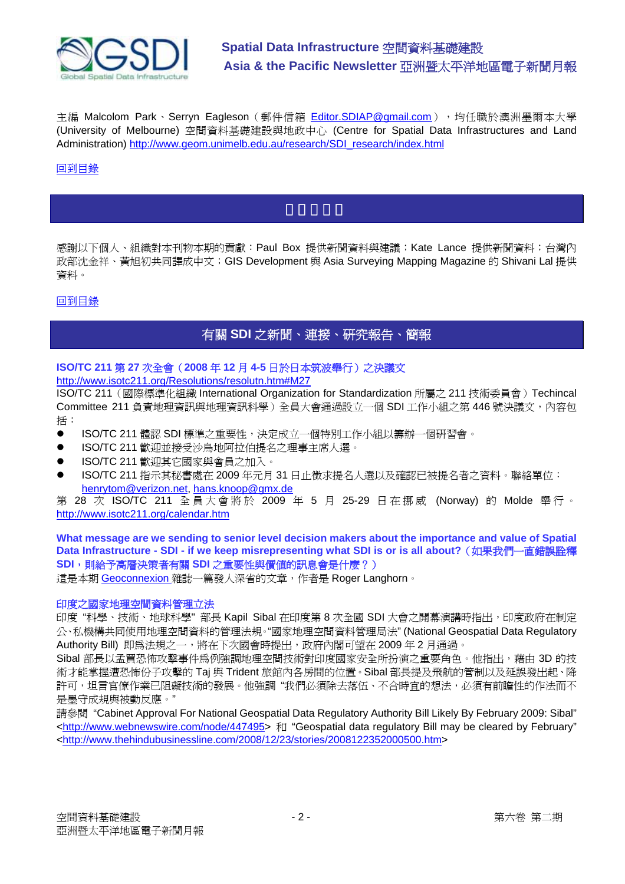

主編 Malcolom Park、Serryn Eagleson (郵件信箱 Editor.SDIAP@gmail.com), 均任職於澳洲墨爾本大學 (University of Melbourne) 空間資料基礎建設與地政中心 (Centre for Spatial Data Infrastructures and Land Administration) [http://www.geom.unimelb.edu.au/research/SDI\\_research/index.html](http://www.geom.unimelb.edu.au/research/SDI_research/index.html)

# 回到目錄

感謝以下個人、組織對本刊物本期的貢獻:Paul Box 提供新聞資料與建議;Kate Lance 提供新聞資料;台灣內 政部沈金祥、黃旭初共同譯成中文;GIS Development 與 Asia Surveying Mapping Magazine 的 Shivani Lal 提供 資料。

回到目錄

# 有關 **SDI** 之新聞、連接、研究報告、簡報

#### **ISO/TC 211** 第 **27** 次全會(**2008** 年 **12** 月 **4-5** 日於日本筑波舉行)之決議文 <http://www.isotc211.org/Resolutions/resolutn.htm#M27>

ISO/TC 211(國際標準化組織 International Organization for Standardization 所屬之 211 技術委員會)Techincal Committee 211 負責地理資訊與地理資訊科學)全員大會通過設立一個 SDI 工作小組之第 446 號決議文,內容包 括:

- ISO/TC 211 體認 SDI 標準之重要性,決定成立一個特別工作小組以籌辦一個研習會。
- ISO/TC 211 歡迎並接受沙鳥地阿拉伯提名之理事主席人選。
- ISO/TC 211 歡迎其它國家與會員之加入。
- ISO/TC 211 指示其秘書處在 2009 年元月 31 日止徵求提名人選以及確認已被提名者之資料。聯絡單位: henrytom@verizon.net, hans.knoop@gmx.de

第 28 次 ISO/TC 211 全員大會將於 2009 年 5 月 25-29 日在挪威 (Norway) 的 Molde 舉行。 <http://www.isotc211.org/calendar.htm>

**What message are we sending to senior level decision makers about the importance and value of Spatial Data Infrastructure - SDI - if we keep misrepresenting what SDI is or is all about?**(如果我們一直錯誤詮釋 **SDI**,則給予高層決策者有關 **SDI** 之重要性與價值的訊息會是什麼?)

這是本期 Geoconnexion 雜誌一篇發人深省的文章,作者是 Roger Langhorn。

# 印度之國家地理空間資料管理立法

印度"科學、技術、地球科學"部長 Kapil Sibal 在印度第 8 次全國 SDI 大會之開幕演講時指出,印度政府在制定 公、私機構共同使用地理空間資料的管理法規。"國家地理空間資料管理局法" (National Geospatial Data Regulatory Authority Bill) 即為法規之一,將在下次國會時提出,政府內閣可望在 2009年2月通過。

Sibal 部長以孟買恐怖攻擊事件為例強調地理空間技術對印度國家安全所扮演之重要角色。他指出,藉由 3D 的技 術才能掌握遭恐怖份子攻擊的 Taj 與 Trident 旅館內各房間的位置。Sibal 部長提及飛航的管制以及延誤發出起、降 許可,坦言官僚作業已阻礙技術的發展。他強調"我們必須除去落伍、不合時宜的想法,必須有前瞻性的作法而不 是墨守成規與被動反應。"

請參閱 "Cabinet Approval For National Geospatial Data Regulatory Authority Bill Likely By February 2009: Sibal" <[http://www.webnewswire.com/node/447495>](http://www.webnewswire.com/node/447495) 和 "Geospatial data regulatory Bill may be cleared by February" <[http://www.thehindubusinessline.com/2008/12/23/stories/2008122352000500.htm>](http://www.thehindubusinessline.com/2008/12/23/stories/2008122352000500.htm)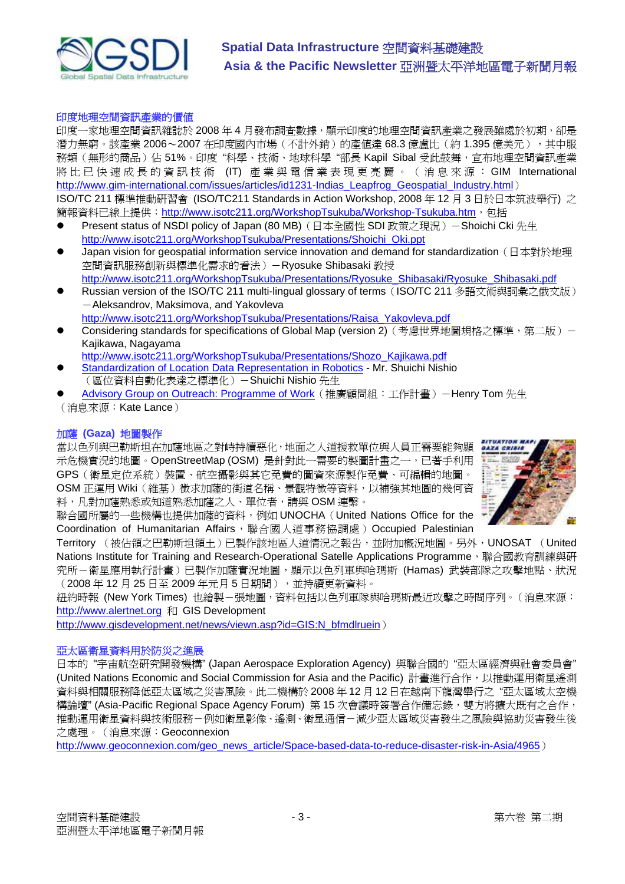

## 印度地理空間資訊產業的價值

印度一家地理空間資訊雜誌於 2008年4月發布調查數據,顯示印度的地理空間資訊產業之發展雖處於初期,卻是 潛力無窮。該產業 2006~2007 在印度國內市場(不計外銷)的產值達 68.3 億盧比(約 1.395 億美元),其中服 務類(無形的商品)佔 51%。印度"科學、技術、地球科學"部長 Kapil Sibal 受此鼓舞,宣布地理空間資訊產業 將比已快速成長的資訊技術 (IT) 產業與電信業表現 更亮麗 。(消息 來 源 : GIM International [http://www.gim-international.com/issues/articles/id1231-Indias\\_Leapfrog\\_Geospatial\\_Industry.html](http://www.gim-international.com/issues/articles/id1231-Indias_Leapfrog_Geospatial_Industry.html)) ISO/TC 211 標準推動研習會 (ISO/TC211 Standards in Action Workshop, 2008 年 12 月 3 日於日本筑波舉行) 之

簡報資料已線上提供: [http://www.isotc211.org/WorkshopTsukuba/Workshop-Tsukuba.htm](http://www.isotc211.org/WorkshopTsukuba/Workshop-Tsukuba.htm%EF%BC%8C%E5%8C%85%E6%8B%AC), 包括

- Present status of NSDI policy of Japan (80 MB)(日本全國性 SDI 政策之現況)-Shoichi Cki 先生 [http://www.isotc211.org/WorkshopTsukuba/Presentations/Shoichi\\_Oki.ppt](http://www.isotc211.org/WorkshopTsukuba/Presentations/Shoichi_Oki.ppt)
- Japan vision for geospatial information service innovation and demand for standardization (日本對於地理 空間資訊服務創新與標準化需求的看法)-Ryosuke Shibasaki 教授 [http://www.isotc211.org/WorkshopTsukuba/Presentations/Ryosuke\\_Shibasaki/Ryosuke\\_Shibasaki.pdf](http://www.isotc211.org/WorkshopTsukuba/Presentations/Ryosuke_Shibasaki/Ryosuke_Shibasaki.pdf)
- Russian version of the ISO/TC 211 multi-lingual glossary of terms (ISO/TC 211 多語文術與詞彙之俄文版) -Aleksandrov, Maksimova, and Yakovleva [http://www.isotc211.org/WorkshopTsukuba/Presentations/Raisa\\_Yakovleva.pdf](http://www.isotc211.org/WorkshopTsukuba/Presentations/Raisa_Yakovleva.pdf)
- Considering standards for specifications of Global Map (version 2)(考慮世界地圖規格之標準,第二版)-Kajikawa, Nagayama

[http://www.isotc211.org/WorkshopTsukuba/Presentations/Shozo\\_Kajikawa.pdf](http://www.isotc211.org/WorkshopTsukuba/Presentations/Shozo_Kajikawa.pdf)

- Standardization of Location Data Representation in Robotics Mr. Shuichi Nishio (區位資料自動化表達之標準化)-Shuichi Nishio 先生
- Advisory Group on Outreach: Programme of Work (推廣顧問組:工作計畫) -Henry Tom 先生

(消息來源:Kate Lance)

# 加薩 **(Gaza)** 地圖製作

當以色列與巴勒斯坦在加薩地區之對峙持續惡化,地面之人道援救單位與人員正需要能夠顯 示危機實況的地圖。OpenStreetMap (OSM) 是針對此一需要的製圖計畫之一,已著手利用 GPS(衛星定位系統)裝置、航空攝影與其它免費的圖資來源製作免費、可編輯的地圖。 OSM 正運用 Wiki(維基)徵求加薩的街道名稱、景觀特徵等資料,以補強其地圖的幾何資 料,凡對加薩熟悉或知道熟悉加薩之人、單位者,請與 OSM 連繫。



聯合國所屬的一些機構也提供加薩的資料,例如 UNOCHA(United Nations Office for the Coordination of Humanitarian Affairs, 聯合國人道事務協調處) Occupied Palestinian

Territory (被佔領之巴勒斯坦領土)已製作該地區人道情況之報告,並附加概況地圖。另外, UNOSAT (United Nations Institute for Training and Research-Operational Satelle Applications Programme, 聯合國教育訓練與研 究所-衛星應用執行計畫)已製作加薩實況地圖,顯示以色列軍與哈瑪斯 (Hamas) 武裝部隊之攻擊地點、狀況 (2008 年 12 月 25 日至 2009 年元月 5 日期間),並持續更新資料。

紐約時報 (New York Times) 也繪製-張地圖,資料包括以色列軍隊與哈瑪斯最近攻擊之時間序列。(消息來源: <http://www.alertnet.org> 和 GIS Development

[http://www.gisdevelopment.net/news/viewn.asp?id=GIS:N\\_bfmdlruein](http://www.gisdevelopment.net/news/viewn.asp?id=GIS:N_bfmdlruein))

# 亞太區衛星資料用於防災之進展

日本的 "宇宙航空研究開發機構" (Japan Aerospace Exploration Agency) 與聯合國的 "亞太區經濟與社會委員會" (United Nations Economic and Social Commission for Asia and the Pacific) 計書進行合作,以推動運用衛星遙測 資料與相關服務降低亞太區域之災害風險。此二機構於 2008 年 12 月 12 日在越南下龍灣舉行之 "亞太區域太空機 構論壇" (Asia-Pacific Regional Space Agency Forum) 第 15 次會議時簽署合作備忘錄, 雙方將擴大既有之合作, 推動運用衛星資料與技術服務-例如衛星影像、遙測、衛星通信-減少亞太區域災害發生之風險與協助災害發生後 之處理。(消息來源:Geoconnexion

[http://www.geoconnexion.com/geo\\_news\\_article/Space-based-data-to-reduce-disaster-risk-in-Asia/4965](http://www.geoconnexion.com/geo_news_article/Space-based-data-to-reduce-disaster-risk-in-Asia/4965))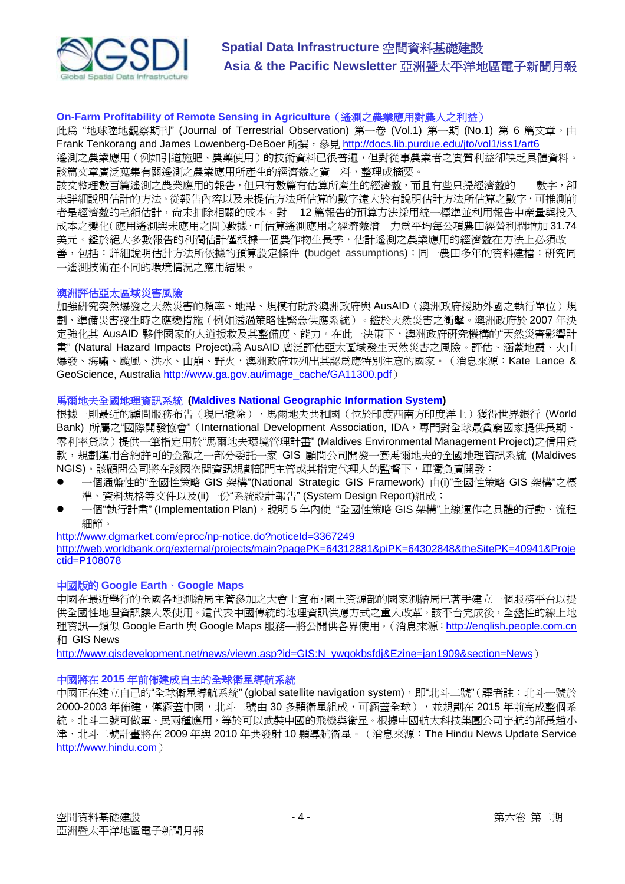

# **On-Farm Profitability of Remote Sensing in Agriculture**(遙測之農業應用對農人之利益)

此為"地球陸地觀察期刊" (Journal of Terrestrial Observation) 第一卷 (Vol.1) 第一期 (No.1) 第 6 篇文章, 由 Frank Tenkorang and James Lowenberg-DeBoer 所撰, 參見 <http://docs.lib.purdue.edu/jto/vol1/iss1/art6>

遙測之農業應用(例如引道施肥、農藥使用)的技術資料已很普遍,但對從事農業者之實質利益卻缺乏具體資料。 該篇文章廣泛蒐集有關遙測之農業應用所產生的經濟熱之資 料,整理成摘要。

該文整理數百篇遙測之農業應用的報告,但只有數篇有估算所產生的經濟效,而且有些只提經濟效的——數字,卻 未詳細說明估計的方法。從報告內容以及未提估方法所估算的數字遠大於有說明估計方法所估算之數字,可推測前 者是經濟激的毛額估計,尚未扣除相關的成本。對 12 篇報告的預算方法採用統一標準並利用報告中產量與投入 成本之變化(應用遙測與未應用之間)數據,可估算遙測應用之經濟效潛 力為平均每公項農田經營利潤增加 31.74 美元。鑑於絕大多數報告的利潤估計僅根據一個農作物生長季,估計遙測之農業應用的經濟靈在方法上必須改 善,包括:詳細說明估計方法所依據的預算設定條件 (budget assumptions);同一農田多年的資料建檔;研究同 一遙測技術在不同的環境情況之應用結果。

#### 澳洲評估亞太區域災害風險

加強研究突然爆發之天然災害的頻率、地點、規模有助於澳洲政府與 AusAID (澳洲政府援助外國之執行單位)規 劃、準備災害發生時之應變措施(例如透過策略性緊急供應系統)。鑑於天然災害之衝擊。澳洲政府於 2007 年決 定強化其 AusAID 夥伴國家的人道援救及其整備度、能力。在此一決策下,澳洲政府研究機構的"天然災害影響計 畫" (Natural Hazard Impacts Project)為 AusAID 廣泛評估亞太區域發生天然災害之風險。評估、涵蓋地震、火山 爆發、海嘯、颱風、洪水、山崩、野火,澳洲政府並列出其認為應特別注意的國家。(消息來源:Kate Lance & GeoScience, Australia [http://www.ga.gov.au/image\\_cache/GA11300.pdf](http://www.ga.gov.au/image_cache/GA11300.pdf))

## 馬爾地夫全國地理資訊系統 **(Maldives National Geographic Information System)**

根據一則最近的顧問服務布告(現已撤除),馬爾地夫共和國(位於印度西南方印度洋上)獲得世界銀行 (World Bank) 所屬之"國際開發協會" (International Development Association, IDA, 專門對全球最貧窮國家提供長期、 零利率貸款)提供一筆指定用於"馬爾地夫環境管理計畫" (Maldives Environmental Management Project)之信用貸 款,規劃運用合約許可的金額之一部分委託一家 GIS 顧問公司開發一套馬爾地夫的全國地理資訊系統 (Maldives NGIS)。該顧問公司將在該國空間資訊規劃部門主管或其指定代理人的監督下,單獨負責開發:

- 一個通盤性的"全國性策略 GIS 架構"(National Strategic GIS Framework) 由(i)"全國性策略 GIS 架構"之標 準、資料規格等文件以及(ii)一份"系統設計報告" (System Design Report)組成;
- 一個"執行計書" (Implementation Plan),說明5年內使"全國性策略 GIS 架構"上線運作之具體的行動、流程 細節。

<http://www.dgmarket.com/eproc/np-notice.do?noticeId=3367249> <http://web.worldbank.org/external/projects/main?pagePK=64312881&piPK=64302848&theSitePK=40941&Proje> ctid=P108078

#### 中國版的 **Google Earth**、**Google Maps**

中國在最近舉行的全國各地測繪局主管參加之大會上宣布,國土資源部的國家測繪局已著手建立一個服務平台以提 供全國性地理資訊讓大眾使用。這代表中國傳統的地理資訊供應方式之重大改革。該平台完成後,全盤性的線上地 理資訊—類似 Google Earth 與 Google Maps 服務—將公開供各界使用。(消息來源: <http://english.people.com.cn> 和 GIS News

http://www.gisdevelopment.net/news/viewn.asp?id=GIS:N\_ywgokbsfdi&Ezine=jan1909&section=News)

#### 中國將在 **2015** 年前佈建成自主的全球衛星導航系統

中國正在建立自己的"全球衛星導航系統" (global satellite navigation system), 即"北斗二號"(譯者註:北斗一號於 2000-2003年佈建,僅涵蓋中國,北斗二號由 30 多顆衛星組成,可涵蓋全球), 並規劃在 2015 年前完成整個系 統。北斗二號可做軍、民兩種應用,等於可以武裝中國的飛機與衛星。根據中國航太科技集團公司宇航的部長趙小 津,北斗二號計畫將在 2009 年與 2010 年共發射 10 顆導航衛星。(消息來源:The Hindu News Update Service <http://www.hindu.com>)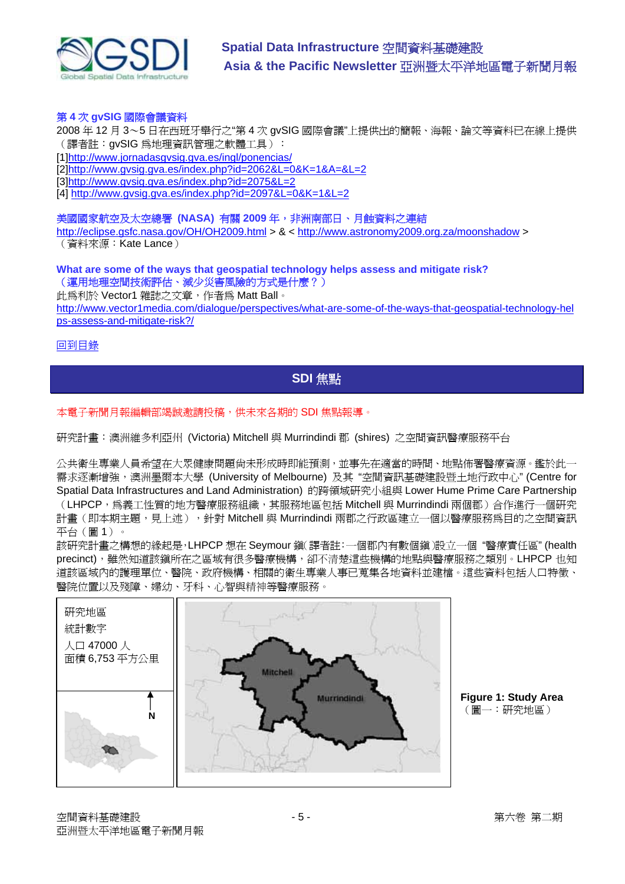

# 第 **4** 次 **gvSIG** 國際會議資料

2008 年 12 月 3~5 日在西班牙舉行之"第 4 次 gvSIG 國際會議"上提供出的簡報、海報、論文等資料已在線上提供 (譯者註:gvSIG 為地理資訊管理之軟體工具):

[1[\]http://www.jornadasgvsig.gva.es/ingl/ponencias/](http://www.jornadasgvsig.gva.es/ingl/ponencias/)

[2[\]http://www.gvsig.gva.es/index.php?id=2062&L=0&K=1&A=&L=2](http://www.gvsig.gva.es/index.php?id=2062&L=0&K=1&A=&L=2)

[3[\]http://www.gvsig.gva.es/index.php?id=2075&L=2](http://www.gvsig.gva.es/index.php?id=2075&L=2)

[4] <http://www.gvsig.gva.es/index.php?id=2097&L=0&K=1&L=2>

# 美國國家航空及太空總署 **(NASA)** 有關 **2009** 年,非洲南部日、月蝕資料之連結

<http://eclipse.gsfc.nasa.gov/OH/OH2009.html>>  $<$ <http://www.astronomy2009.org.za/moonshadow>> (資料來源:Kate Lance)

**What are some of the ways that geospatial technology helps assess and mitigate risk?**  (運用地理空間技術評估、減少災害風險的方式是什麼?)

此為利於 Vector1 雜誌之文章,作者為 Matt Ball。

<http://www.vector1media.com/dialogue/perspectives/what-are-some-of-the-ways-that-geospatial-technology-hel> ps-assess-and-mitigate-risk?/

## 回到目錄

# **SDI** 焦點

# 本電子新聞月報編輯部竭誠邀請投稿,供未來各期的 SDI 焦點報導。

研究計畫:澳洲維多利亞州 (Victoria) Mitchell 與 Murrindindi 郡 (shires) 之空間資訊醫療服務平台

公共衛生專業人員希望在大眾健康問題尚未形成時即能預測,並事先在適當的時間、地點佈署醫療資源。鑑於此一 需求逐漸增強,澳洲墨爾本大學 (University of Melbourne) 及其 "空間資訊基礎建設暨土地行政中心" (Centre for Spatial Data Infrastructures and Land Administration) 的跨領域研究小組與 Lower Hume Prime Care Partnership (LHPCP,為義工性質的地方醫療服務組織,其服務地區包括 Mitchell 與 Murrindindi 兩個郡)合作淮行一個研究 計畫(即本期主題,見上述),針對 Mitchell 與 Murrindindi 兩郡之行政區建立一個以醫療服務爲目的之空間資訊 平台(圖 1)。

該研究計畫之構想的緣起是,LHPCP 想在 Seymour 鎮(譯者註:一個郡內有數個鎮)設立一個 "醫療責任區" (health precinct), 雖然知道該鎮所在之區域有很多醫療機構,卻不清楚這些機構的地點與醫療服務之類別。LHPCP 也知 道該區域內的護理單位、醫院、政府機構、相關的衛生專業人事已蒐集各地資料並建檔。這些資料包括人口特徵、 醫院位置以及殘障、婦幼、牙科、心智與精神等醫療服務。



**Figure 1: Study Area**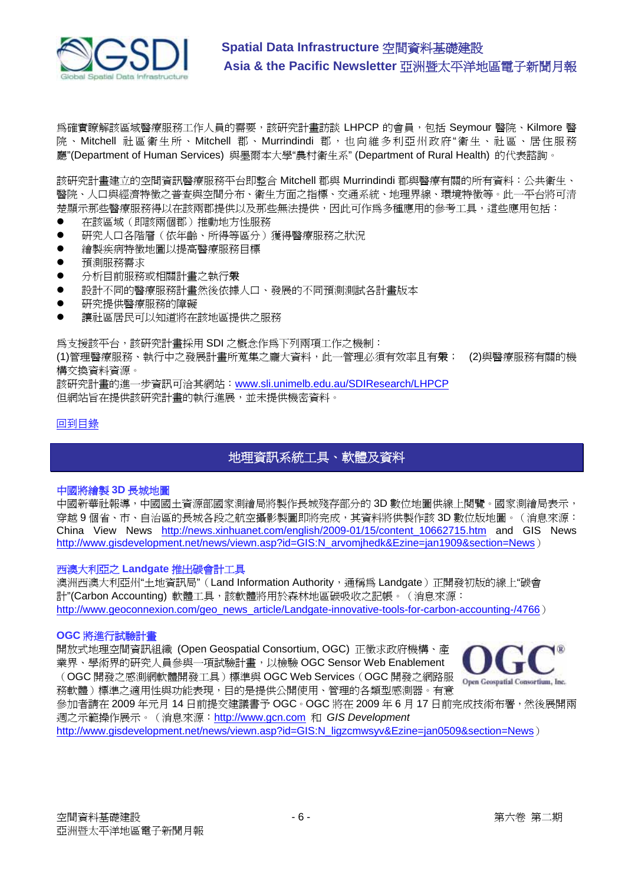

為確實瞭解該區域醫療服務工作人員的需要,該研究計畫訪談 LHPCP 的會員,包括 Seymour 醫院、Kilmore 醫 院 、Mitchell 社區衛生所、Mitchell 郡 、Murrindindi 郡,也向維多利亞州政府"衛生、社區、居住服務 廳"(Department of Human Services) 與墨爾本大學"農村衛生系" (Department of Rural Health) 的代表諮詢。

該研究計畫建立的空間資訊醫療服務平台即整合 Mitchell 郡與 Murrindindi 郡與醫療有關的所有資料:公共衛生、 醫院、人口與經濟特徵之普查與空間分布、衛生方面之指標、交通系統、地理界線、環境特徵等。此一平台將可清 楚顯示那些醫療服務得以在該兩郡提供以及那些無法提供,因此可作為多種應用的參考工具,這些應用包括:

- z 在該區域(即該兩個郡)推動地方性服務
- 研究人口各階層(依年齡、所得等區分)獲得醫療服務之狀況
- 繪製疾病特徵地圖以提高醫療服務目標
- z 預測服務需求
- 分析目前服務或相關計書之執行爨
- 設計不同的醫療服務計畫然後依據人口、發展的不同預測測試各計畫版本
- z 研究提供醫療服務的障礙
- 讓社區居民可以知道將在該地區提供之服務

為支援該平台,該研究計畫採用 SDI 之概念作為下列兩項工作之機制:

(1)管理醫療服務、執行中之發展計畫所蒐集之龐大資料,此一管理必須有效率且有眾; (2)與醫療服務有關的機 構交換資料資源。

該研究計畫的進一步資訊可洽其網站:www.sli.unimelb.edu.au/SDIResearch/LHPCP 但網站旨在提供該研究計畫的執行進展,並未提供機密資料。

# 回到目錄

# 地理資訊系統工具、軟體及資料

#### 中國將繪製 **3D** 長城地圖

中國新華社報導,中國國土資源部國家測繪局將製作長城殘存部分的 3D 數位地圖供線上閱覽。國家測繪局表示, 穿越 9 個省、市、自治區的長城各段之航空攝影製圖即將完成,其資料將供製作該 3D 數位版地圖。(消息來源: China View News [http://news.xinhuanet.com/english/2009-01/15/content\\_10662715.htm](http://news.xinhuanet.com/english/2009-01/15/content_10662715.htm) and GIS News [http://www.gisdevelopment.net/news/viewn.asp?id=GIS:N\\_arvomjhedk&Ezine=jan1909&section=News](http://www.gisdevelopment.net/news/viewn.asp?id=GIS:N_arvomjhedk&Ezine=jan1909§ion=News))

# 西澳大利亞之 **Landgate** 推出碳會計工具

澳洲西澳大利亞州"土地資訊局"(Land Information Authority,通稱為 Landgate)正開發初版的線上"碳會 計"(Carbon Accounting) 軟體工具,該軟體將用於森林地區碳吸收之記帳。(消息來源: [http://www.geoconnexion.com/geo\\_news\\_article/Landgate-innovative-tools-for-carbon-accounting-/4766](http://www.geoconnexion.com/geo_news_article/Landgate-innovative-tools-for-carbon-accounting-/4766))

#### **OGC** 將進行試驗計畫

開放式地理空間資訊組織 (Open Geospatial Consortium, OGC) 正徵求政府機構、產 業界、學術界的研究人員參與一項試驗計畫,以檢驗 OGC Sensor Web Enablement (OGC 開發之感測網軟體開發工具)標準與 OGC Web Services(OGC 開發之網路服 務軟體)標準之適用性與功能表現,目的是提供公開使用、管理的各類型感測器。有意



參加者請在 2009年元月 14 日前提交建議書予 OGC。OGC 將在 2009年6月 17 日前完成技術布署,然後展開兩 週之示範操作展示。(消息來源:<http://www.gcn.com> 和 *GIS Development*

[http://www.gisdevelopment.net/news/viewn.asp?id=GIS:N\\_ligzcmwsyv&Ezine=jan0509&section=News](http://www.gisdevelopment.net/news/viewn.asp?id=GIS:N_ligzcmwsyv&Ezine=jan0509§ion=News))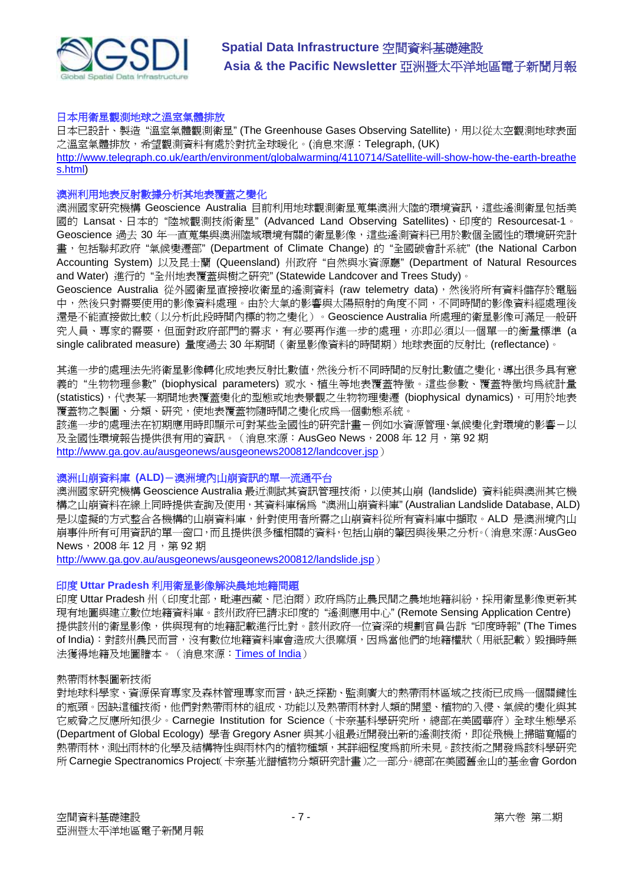

#### 日本用衛星觀測地球之溫室氣體排放

日本已設計、製造"溫室氣體觀測衛星" (The Greenhouse Gases Observing Satellite), 用以從太空觀測地球表面 之溫室氣體排放,希望觀測資料有處於對抗全球暖化。(消息來源:Telegraph, (UK) <http://www.telegraph.co.uk/earth/environment/globalwarming/4110714/Satellite-will-show-how-the-earth-breathe> s.html)

# 澳洲利用地表反射數據分析其地表覆蓋之變化

澳洲國家研究機構 Geoscience Australia 目前利用地球觀測衛星蒐集澳洲大陸的環境資訊,這些遙測衛星包括美 國的 Lansat、日本的 "陸城觀測技術衛星" (Advanced Land Observing Satellites)、印度的 Resourcesat-1。 Geoscience 過去 30 年一直蒐集與澳洲陸域環境有關的衛星影像,這些遙測資料已用於數個全國性的環境研究計 書, 包括聯邦政府"氣候變遷部" (Department of Climate Change) 的"全國碳會計系統" (the National Carbon Accounting System) 以及昆士蘭 (Queensland) 州政府 "自然與水資源廳" (Department of Natural Resources and Water) 進行的 "全州地表覆蓋與樹之研究" (Statewide Landcover and Trees Study)。

Geoscience Australia 從外國衛星直接接收衛星的遙測資料 (raw telemetry data),然後將所有資料儲存於電腦 中,然後只對需要使用的影像資料處理。由於大氣的影響與太陽照射的角度不同,不同時間的影像資料經處理後 還是不能直接做比較(以分析此段時間內標的物之變化)。Geoscience Australia 所處理的衛星影像可滿足一般研 究人員、專家的需要,但面對政府部門的需求,有必要再作進一步的處理,亦即必須以一個單一的衡量標準 (a single calibrated measure) 量度過去 30 年期間 (衛星影像資料的時間期) 地球表面的反射比 (reflectance)。

其進一步的處理法先將衛星影像轉化成地表反射比數值,然後分析不同時間的反射比數值之變化,導出很多具有意 義的 "生物物理參數" (biophysical parameters) 或水、植生等地表覆蓋特徵。這些參數、覆蓋特徵均為統計量 (statistics), 代表某一期間地表覆蓄變化的型熊或地表景觀之生物物理變遷 (biophysical dynamics), 可用於地表 覆蓋物之製圖、分類、研究,使地表覆蓋物隨時間之變化成為一個動態系統。

該進一步的處理法在初期應用時即顯示可對某些全國性的研究計畫-例如水資源管理、氣候變化對環境的影響-以 及全國性環境報告提供很有用的資訊。(消息來源: AusGeo News, 2008年12月, 第92期

<http://www.ga.gov.au/ausgeonews/ausgeonews200812/landcover.jsp>)

#### 澳洲山崩資料庫 **(ALD)**-澳洲境內山崩資訊的單一流通平台

澳洲國家研究機構 Geoscience Australia 最近測試其資訊管理技術,以使其山崩 (landslide) 資料能與澳洲其它機 構之山崩資料在線上同時提供查詢及使用,其資料庫稱為"澳洲山崩資料庫" (Australian Landslide Database, ALD) 是以虛擬的方式整合各機構的山崩資料庫,針對使用者所需之山崩資料從所有資料庫中擷取。ALD 是澳洲境內山 崩事件所有可用資訊的單一窗口,而且提供很多種相關的資料,包括山崩的肇因與後果之分析。(消息來源:AusGeo News, 2008年12月, 第92期

<http://www.ga.gov.au/ausgeonews/ausgeonews200812/landslide.jsp>)

### 印度 **Uttar Pradesh** 利用衛星影像解決農地地籍問題

印度 Uttar Pradesh 州 (印度北部,毗連西藏、尼泊爾)政府為防止農民間之農地地籍糾紛,採用衛星影像更新其 現有地圖與建立數位地籍資料庫。該州政府已請求印度的 "遙測應用中心" (Remote Sensing Application Centre) 提供該州的衛星影像,供與現有的地籍記載進行比對。該州政府一位資深的規劃官員告訴"印度時報" (The Times of India):對該州農民而言,沒有數位地籍資料庫會造成大很麻煩,因為當他們的地籍權狀(用紙記載)毀損時無 法獲得地籍及地圖謄本。(消息來源:Times of India)

#### 熱帶雨林製圖新技術

對地球科學家、資源保育專家及森林管理專家而言,缺乏探勘、監測廣大的熱帶雨林區域之技術已成為一個關鍵性 的瓶頸。因缺這種技術,他們對熱帶雨林的組成、功能以及熱帶雨林對人類的開墾、植物的入侵、氣候的變化與其 它威脅之反應所知很少。Carnegie Institution for Science(卡奈基科學研究所,總部在美國華府)全球生態學系 (Department of Global Ecology) 學者 Gregory Asner 與其小組最近開發出新的遙測技術, 即從飛機上掃瞄寬幅的 熱帶雨林,測出雨林的化學及結構特性與雨林內的植物種類,其詳細程度為前所未見。該技術之開發為該科學研究 所 Carnegie Spectranomics Project(卡奈基光譜植物分類研究計畫)之一部分。總部在美國舊金山的基金會 Gordon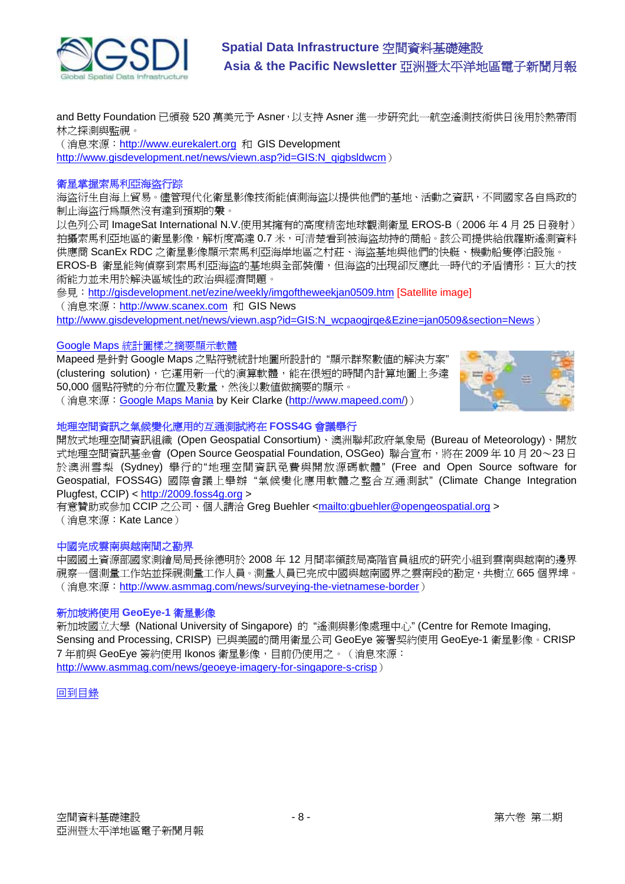

and Betty Foundation 已頒發 520 萬美元予 Asner, 以支持 Asner 進一步研究此一航空遙測技術供日後用於熱帶雨 林之探測與監視。

(消息來源: <http://www.eurekalert.org> 和 GIS Development [http://www.gisdevelopment.net/news/viewn.asp?id=GIS:N\\_qigbsldwcm](http://www.gisdevelopment.net/news/viewn.asp?id=GIS:N_qigbsldwcm))

## 衛星掌握索馬利亞海盜行踪

海盜衍生自海上貿易。儘管現代化衛星影像技術能偵測海盜以提供他們的基地、活動之資訊,不同國家各自為政的 制止海盜行為顯然沒有達到預期的報。

以色列公司 ImageSat International N.V.使用其擁有的高度精密地球觀測衛星 EROS-B(2006 年 4 月 25 日發射) 拍攝索馬利亞地區的衛星影像,解析度高達 0.7 米,可清楚看到被海盜劫持的商船。該公司提供給俄羅斯遙測資料 供應商 ScanEx RDC 之衛星影像顯示索馬利亞海岸地區之村莊、海盜基地與他們的快艇、機動船隻停泊設施。 EROS-B 衛星能夠偵察到索馬利亞海盜的基地與全部裝備,但海盜的出現卻反應此一時代的矛盾情形:巨大的技 術能力並未用於解決區域性的政治與經濟問題。

參見: <http://gisdevelopment.net/ezine/weekly/imgoftheweekjan0509.htm> [Satellite image] (消息來源: <http://www.scanex.com> 和 GIS News http://www.gisdevelopment.net/news/viewn.asp?id=GIS:N\_wcpaogirge&Ezine=jan0509&section=News)

#### Google Maps 統計圖樣之摘要顯示軟體

Mapeed 是針對 Google Maps 之點符號統計地圖所設計的 "顯示群聚數值的解決方案" (clustering solution),它運用新一代的演算軟體,能在很短的時間內計算地圖上多達 50,000 個點符號的分布位置及數量,然後以數值做摘要的顯示。



(消息來源: Google Maps Mania by Keir Clarke [\(http://www.mapeed.com/\)](http://www.mapeed.com/))

# 地理空間資訊之氣候變化應用的互通測試將在 **FOSS4G** 會議舉行

開放式地理空間資訊組織 (Open Geospatial Consortium)、澳洲聯邦政府氣象局 (Bureau of Meteorology)、開放 式地理空間資訊基金會 (Open Source Geospatial Foundation, OSGeo) 聯合宣布,將在 2009年10月 20~23日 於澳洲雪梨 (Sydney) 舉行的"地理空間資訊免費與開放源碼軟體" (Free and Open Source software for Geospatial, FOSS4G) 國際會議上舉辦 "氣候變化應用軟體之整合互通測試" (Climate Change Integration Plugfest, CCIP) <<http://2009.foss4g.org>>

有意贊助或參加 CCIP 之公司、個人請洽 Greg Buehler [<mailto:gbuehler@opengeospatial.org](mailto:gbuehler@opengeospatial.org) > (消息來源:Kate Lance)

#### 中國完成雲南與越南間之勘界

中國國土資源部國家測繪局局長徐德明於 2008 年 12 月間率領該局高階官員組成的研究小組到雲南與越南的邊界 視察一個測量工作站並探視測量工作人員。測量人員已完成中國與越南國界之雲南段的勘定,共樹立 665 個界埤。 (消息來源:<http://www.asmmag.com/news/surveying-the-vietnamese-border>)

# 新加坡將使用 **GeoEye-1** 衛星影像

新加坡國立大學 (National University of Singapore) 的 "遙測與影像處理中心" (Centre for Remote Imaging, Sensing and Processing, CRISP) 已與美國的商用衛星公司 GeoEye 簽署契約使用 GeoEye-1 衛星影像。CRISP 7 年前與 GeoEye 簽約使用 Ikonos 衛星影像,目前仍使用之。(消息來源: <http://www.asmmag.com/news/geoeye-imagery-for-singapore-s-crisp>)

# 回到目錄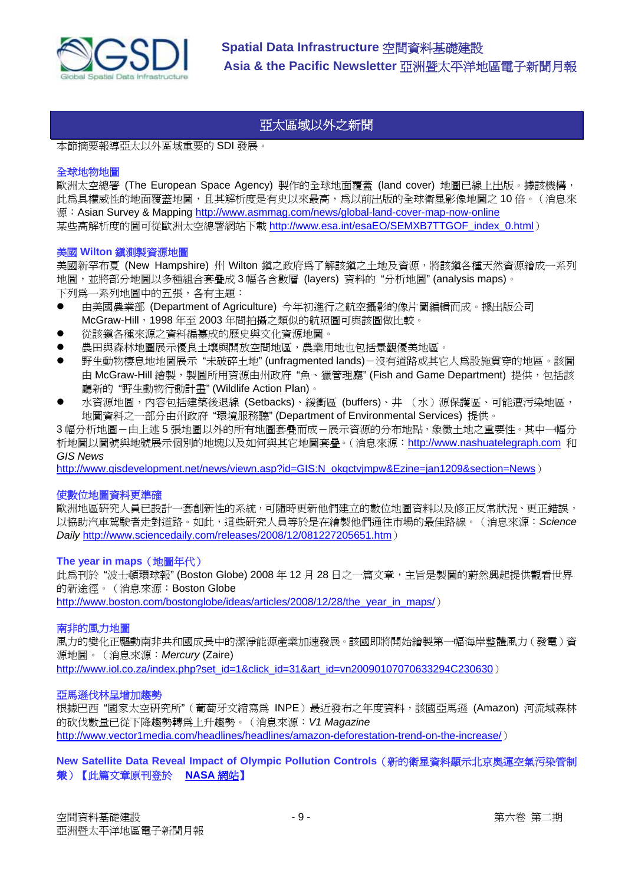

# 亞太區域以外之新聞

本節摘要報導亞太以外區域重要的 SDI 發展。

## 全球地物地圖

歐洲太空總署 (The European Space Agency) 製作的全球地面覆蓋 (land cover) 地圖已線上出版。據該機構, 此為具權威性的地面覆蓋地圖,且其解析度是有史以來最高,為以前出版的全球衛星影像地圖之10倍。(消息來 源: Asian Survey & Mapping http://www.asmmag.com/news/global-land-cover-map-now-online 某些高解析度的圖可從歐洲太空總署網站下載 http://www.esa.int/esaEO/SEMXB7TTGOF index 0.html)

#### 美國 **Wilton** 鎮測製資源地圖

美國新罕布夏 (New Hampshire) 州 Wilton 鎮之政府為了解該鎮之土地及資源,將該鎮各種天然資源繪成一系列 地圖,並將部分地圖以多種組合套疊成 3 幅各含數層 (layers) 資料的 "分析地圖" (analysis maps)。 下列為一系列地圖中的五張,各有主題:

- 由美國農業部 (Department of Agriculture) 今年初淮行之航空攝影的像片圖編輯而成。據出版公司 McGraw-Hill, 1998 年至 2003 年間拍攝之類似的航照圖可與該圖做比較。
- 從該鎭各種來源之資料編纂成的歷史與文化資源地圖。
- 農田與森林地圖展示優良土壤與開放空間地區,農業用地也包括景觀優美地區。
- 野生動物棲息地地圖展示"未破碎土地" (unfragmented lands)-沒有道路或其它人爲設施貫穿的地區。該圖 由 McGraw-Hill 繪製,製圖所用資源由州政府"魚、獵管理廳" (Fish and Game Department) 提供,包括該 廳新的 "野生動物行動計畫" (Wildlife Action Plan)。
- 水資源地圖,內容包括建築後退線 (Setbacks)、緩衝區 (buffers)、井 (水)源保護區、可能遭污染地區, 地圖資料之一部分由州政府 "環境服務聽" (Department of Environmental Services) 提供。

3幅分析地圖-由上述5張地圖以外的所有地圖套疊而成-展示資源的分布地點,象徵土地之重要性。其中一幅分 析地圖以圖號與地號展示個別的地塊以及如何與其它地圖套疊。(消息來源:<http://www.nashuatelegraph.com> 和 *GIS News*

http://www.gisdevelopment.net/news/viewn.asp?id=GIS:N\_okgctvjmpw&Ezine=jan1209&section=News)

#### 使數位地圖資料更準確

歐洲地區研究人員已設計一套創新性的系統,可隨時更新他們建立的數位地圖資料以及修正反常狀況、更正錯誤, 以協助汽車駕駛者走對道路。如此,這些研究人員等於是在繪製他們通往市場的最佳路線。(消息來源:*Science Daily* <http://www.sciencedaily.com/releases/2008/12/081227205651.htm>)

#### **The year in maps**(地圖年代)

此為刊於 "波士頓環球報" (Boston Globe) 2008 年 12 月 28 日之一篇文章,主旨是製圖的蔚然興起提供觀看世界 的新途徑。(消息來源:Boston Globe

[http://www.boston.com/bostonglobe/ideas/articles/2008/12/28/the\\_year\\_in\\_maps/](http://www.boston.com/bostonglobe/ideas/articles/2008/12/28/the_year_in_maps/))

## 南非的風力地圖

風力的變化正驅動南非共和國成長中的潔淨能源產業加速發展。該國即將開始繪製第一幅海岸整體風力(發電)資 源地圖。(消息來源:*Mercury* (Zaire)

[http://www.iol.co.za/index.php?set\\_id=1&click\\_id=31&art\\_id=vn20090107070633294C230630](http://www.iol.co.za/index.php?set_id=1&click_id=31&art_id=vn20090107070633294C230630))

## 亞馬遜伐林呈增加趨勢

根據巴西"國家太空研究所"(葡萄牙文縮寫為 INPE)最近發布之年度資料,該國亞馬遜 (Amazon) 河流域森林 的砍伐數量已從下降趨勢轉為上升趨勢。(消息來源:*V1 Magazine* <http://www.vector1media.com/headlines/headlines/amazon-deforestation-trend-on-the-increase/>)

# **New Satellite Data Reveal Impact of Olympic Pollution Controls**(新的衛星資料顯示北京奧運空氣污染管制 效果)【此篇文章原刊登於 **NASA** 網站】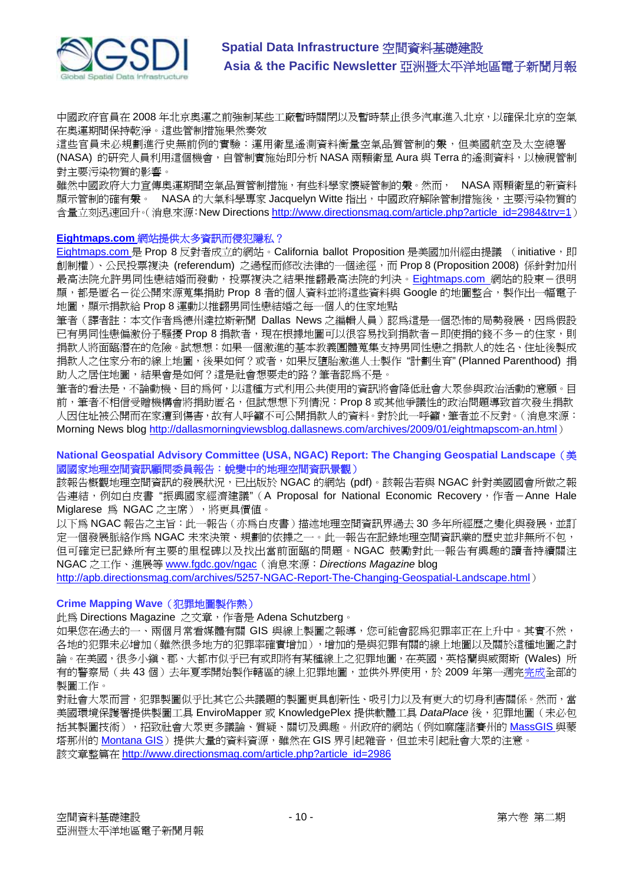

中國政府官員在 2008 年北京奧運之前強制某些工廠暫時關閉以及暫時禁止很多汽車進入北京,以確保北京的空氣 在奧運期間保持乾淨。這些管制措施果然奏效。

這些官員未必規劃進行史無前例的實驗:運用衛星遙測資料衡量空氣品質管制的繫,但美國航空及太空總署 (NASA) 的研究人員利用這個機會,自管制實施始即分析 NASA 兩顆衛星 Aura 與 Terra 的遙測資料, 以檢視管制 對主要污染物質的影響。

雖然中國政府大力宣傳奧運期間空氣品質管制措施,有些科學家懷疑管制的**衆**。然而, NASA 兩顆衛星的新資料 顯示管制的確有衆。 NASA 的大氣科學專家 Jacquelyn Witte 指出,中國政府解除管制措施後,主要污染物質的 含量立刻迅速回升。(消息來源:New Directions [http://www.directionsmag.com/article.php?article\\_id=2984&trv=1](http://www.directionsmag.com/article.php?article_id=2984&trv=1))

## **Eightmaps.com** 網站提供太多資訊而侵犯隱私?

Eightmaps.com 是 Prop 8 反對者成立的網站。California ballot Proposition 是美國加州經由提議 (initiative,即 創制權)、公民投票複決 (referendum) 之過程而修改法律的一個途徑,而 Prop 8 (Proposition 2008) 係針對加州 最高法院允許男同性戀結婚而發動,投票複決之結果推翻最高法院的判決。Eightmaps.com 網站的股東-很明 顯,都是匿名-從公開來源蒐集捐助 Prop 8 者的個人資料並將這些資料與 Google 的地圖整合,製作出一幅電子 地圖,顯示捐款給 Prop 8 運動以推翻男同性戀結婚之每一個人的住家地點

筆者(譯者註:本文作者為德州達拉斯新聞 Dallas News 之編輯人員)認為這是一個恐怖的局勢發展,因為假設 已有男同性戀偏激份子騷擾 Prop 8 捐款者,現在根據地圖可以很容易找到捐款者-即使捐的錢不多-的住家,則 捐款人將面臨潛在的危險。試想想:如果一個激進的基本教義團體蒐集支持男同性戀之捐款人的姓名、住址後製成 捐款人之住家分布的線上地圖,後果如何?或者,如果反墮胎激進人士製作 "計劃生育" (Planned Parenthood) 捐 助人之居住地圖,結果會是如何?這是社會想要走的路?筆者認為不是。

筆者的看法是,不論動機、目的為何,以這種方式利用公共使用的資訊將會降低社會大眾參與政治活動的意願。目 前,筆者不相信受贈機構會將捐助匿名,但試想想下列情況:Prop 8 或其他爭議性的政治問題導致首次發生捐款 人因住址被公開而在家遭到傷害,故有人呼籲不可公開捐款人的資料。對於此一呼籲,筆者並不反對。(消息來源: Morning News blog<http://dallasmorningviewsblog.dallasnews.com/archives/2009/01/eightmapscom-an.html>)

# **National Geospatial Advisory Committee (USA, NGAC) Report: The Changing Geospatial Landscape**(美 國國家地理空間資訊顧問委員報告:蛻變中的地理空間資訊景觀)

該報告概觀地理空間資訊的發展狀況,已出版於 NGAC 的網站 (pdf)。該報告若與 NGAC 針對美國國會所做之報 告連結,例如白皮書"振興國家經濟建議"(A Proposal for National Economic Recovery,作者–Anne Hale Miglarese 為 NGAC 之主席),將更具價值。

以下為 NGAC 報告之主旨: 此一報告 (亦為白皮書) 描述地理空間資訊界過去 30 多年所經歷之變化與發展,並訂 定一個發展脈絡作為 NGAC 未來決策、規劃的依據之一。此一報告在記錄地理空間資訊業的歷史並非無所不包, 但可確定已記錄所有主要的里程碑以及找出當前面臨的問題。NGAC 鼓勵對此一報告有興趣的讀者持續關注 NGAC 之工作、進展等 www.fgdc.gov/ngac(消息來源:*Directions Magazine* blog

<http://apb.directionsmag.com/archives/5257-NGAC-Report-The-Changing-Geospatial-Landscape.html>)

# **Crime Mapping Wave**(犯罪地圖製作熱)

此為 Directions Magazine 之文章,作者是 Adena Schutzberg。

如果您在過去的一、兩個月常看媒體有關 GIS 與線上製圖之報導,您可能會認為犯罪率正在上升中。其實不然, 各地的犯罪未必增加(雖然很多地方的犯罪率確實增加),增加的是與犯罪有關的線上地圖以及關於這種地圖之討 論。在美國,很多小鎭、郡、大都市似乎已有或即將有某種線上之犯罪地圖,在英國,英格蘭與威爾斯 (Wales) 所 有的警察局(共43個)去年夏季開始製作轄區的線上犯罪地圖,並供外界使用,於 2009 年第一週完完成全部的 製圖工作。

對社會大眾而言,犯罪製圖似乎比其它公共議題的製圖更具創新性、吸引力以及有更大的切身利害關係。然而,當 美國環境保護署提供製圖工具 EnviroMapper 或 KnowledgePlex 提供軟體工具 *DataPlace* 後, 犯罪地圖 (未必包 括其製圖技術),招致社會大眾更多議論、質疑、關切及興趣。州政府的網站(例如麻薩諸賽州的 MassGIS 與蒙 塔那州的 Montana GIS)提供大量的資料資源,雖然在 GIS 界引起雜音,但並未引起社會大眾的注意。 該文章整篇在 [http://www.directionsmag.com/article.php?article\\_id=2986](http://www.directionsmag.com/article.php?article_id=2986)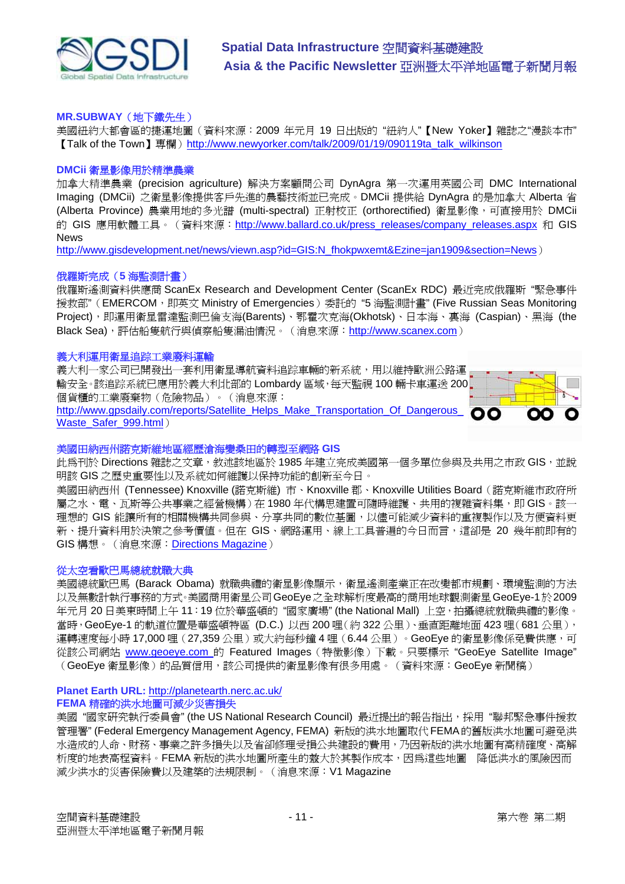

## **MR.SUBWAY**(地下鐵先生)

美國紐約大都會區的捷運地圖(資料來源:2009 年元月 19 日出版的 "紐約人"【New Yoker】雜誌之"漫談本市" 【Talk of the Town】專欄)[http://www.newyorker.com/talk/2009/01/19/090119ta\\_talk\\_wilkinson](http://www.newyorker.com/talk/2009/01/19/090119ta_talk_wilkinson)

#### **DMCii** 衛星影像用於精準農業

加拿大精準農業 (precision agriculture) 解決方案顧問公司 DynAgra 第一次運用英國公司 DMC International Imaging (DMCii) 之衛星影像提供客戶先進的農藝技術並已完成。DMCii 提供給 DynAgra 的是加拿大 Alberta 省 (Alberta Province) 農業用地的多光譜 (multi-spectral) 正射校正 (orthorectified) 衛星影像,可直接用於 DMCii 的 GIS 應用軟體工具。(資料來源: [http://www.ballard.co.uk/press\\_releases/company\\_releases.aspx](http://www.ballard.co.uk/press_releases/company_releases.aspx) 和 GIS **News** 

[http://www.gisdevelopment.net/news/viewn.asp?id=GIS:N\\_fhokpwxemt&Ezine=jan1909&section=News](http://www.gisdevelopment.net/news/viewn.asp?id=GIS:N_fhokpwxemt&Ezine=jan1909§ion=News))

## 俄羅斯完成(**5** 海監測計畫)

俄羅斯遙測資料供應商 ScanEx Research and Development Center (ScanEx RDC) 最近完成俄羅斯 "緊急事件 援救部"(EMERCOM,即英文 Ministry of Emergencies)委託的 "5 海監測計畫" (Five Russian Seas Monitoring Project),即運用衛星雷達監測巴倫支海(Barents)、鄂霍次克海(Okhotsk)、日本海、裏海 (Caspian)、黑海 (the Black Sea),評估船隻航行與偵察船隻漏油情況。(消息來源:<http://www.scanex.com>)

#### 義大利運用衛星追踪工業廢料運輸

義大利一家公司已開發出一套利用衛星導航資料追踪車輛的新系統,用以維持歐洲公路運 輸安全。該追踪系統已應用於義大利北部的 Lombardy 區域,每天監視 100 輛卡車運送 200. 個貨櫃的工業廢棄物(危險物品)。(消息來源: http://www.gpsdaily.com/reports/Satellite\_Helps\_Make\_Transportation\_Of\_Dangerous Waste\_Safer\_999.html)



#### 美國田納西州諾克斯維地區經歷滄海變桑田的轉型至網路 **GIS**

此為刊於 Directions 雜誌之文章,敘述該地區於 1985 年建立完成美國第一個多單位參與及共用之市政 GIS,並說 明該 GIS 之歷史重要性以及系統如何維護以保持功能的創新至今日。

美國田納西州 (Tennessee) Knoxville (諾克斯維) 市、Knoxville 郡、Knoxville Utilities Board(諾克斯維市政府所 屬之水、電、瓦斯等公共事業之經營機構)在 1980 年代構思建置可隨時維護、共用的複雜資料集,即 GIS。該一 理想的 GIS 能讓所有的相關機構共同參與、分享共同的數位基圖,以儘可能減少資料的重複製作以及方便資料更 新、提升資料用於決策之參考價值。但在 GIS、網路運用、線上工具普遍的今日而言,這卻是 20 幾年前即有的 GIS 構想。(消息來源:Directions Magazine)

#### 從太空看歐巴馬總統就職大典

美國總統歐巴馬 (Barack Obama) 就職典禮的衛星影像顯示,衛星遙測產業正在改變都市規劃、環境監測的方法 以及無數計執行事務的方式。美國商用衛星公司GeoEye之全球解析度最高的商用地球觀測衛星GeoEye-1於2009 年元月 20 日美東時間上午 11:19 位於華盛頓的 "國家廣場" (the National Mall) 上空,拍攝總統就職典禮的影像。 當時, GeoEye-1 的軌道位置是華盛頓特區 (D.C.) 以西 200 哩(約 322 公里)、垂直距離地面 423 哩(681 公里), 運轉速度每小時 17,000 哩 (27,359 公里)或大約每秒鐘 4 哩 (6.44 公里)。GeoEve 的衛星影像係孕費供應,可 從該公司網站 www.geoeye.com 的 Featured Images (特徵影像)下載。只要標示 "GeoEye Satellite Image" (GeoEye 衛星影像)的品質信用,該公司提供的衛星影像有很多用處。(資料來源:GeoEye 新聞稿)

#### **Planet Earth URL:** <http://planetearth.nerc.ac.uk/> **FEMA** 精確的洪水地圖可減少災害損失

美國"國家研究執行委員會" (the US National Research Council) 最近提出的報告指出,採用"聯邦緊急事件援救 管理署" (Federal Emergency Management Agency, FEMA) 新版的洪水地圖取代FEMA的舊版洪水地圖可避免洪 水造成的人命、財務、事業之許多損失以及省卻修理受損公共建設的費用,乃因新版的洪水地圖有高精確度、高解 析度的地表高程資料。FEMA 新版的洪水地圖所產生的效大於其製作成本,因為這些地圖 降低洪水的風險因而 減少洪水的災害保險費以及建築的法規限制。(消息來源:V1 Magazine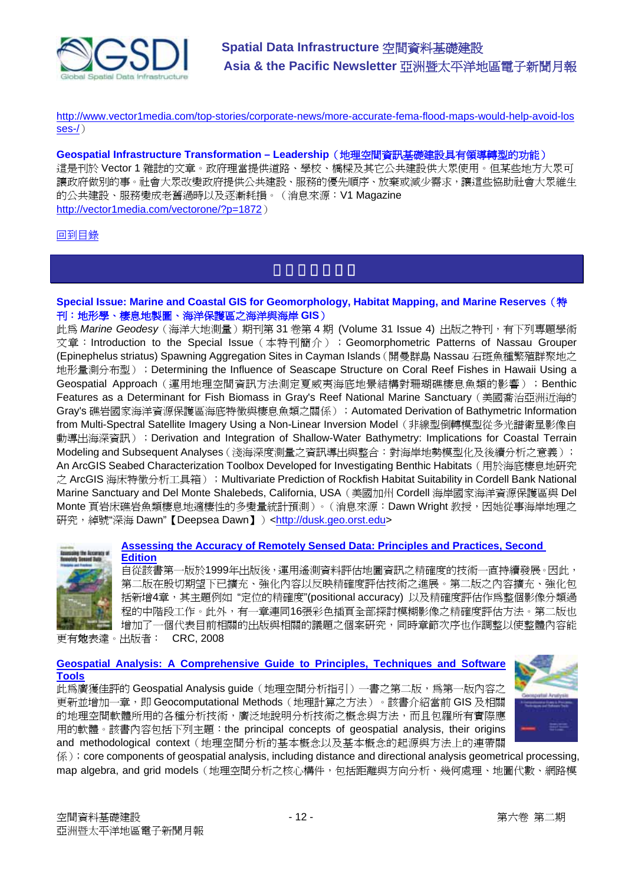

<http://www.vector1media.com/top-stories/corporate-news/more-accurate-fema-flood-maps-would-help-avoid-los> ses-/)

**Geospatial Infrastructure Transformation – Leadership**(地理空間資訊基礎建設具有領導轉型的功能)

這是刊於 Vector 1 雜誌的文章。政府理當提供道路、學校、橋樑及其它公共建設供大眾使用。但某些地方大眾可 讓政府做別的事。社會大眾改變政府提供公共建設、服務的優先順序、放棄或減少需求,讓這些協助社會大眾維生 的公共建設、服務變成老舊過時以及逐漸耗損。(消息來源:V1 Magazine <http://vector1media.com/vectorone/?p=1872>)

# 回到目錄

# **Special Issue: Marine and Coastal GIS for Geomorphology, Habitat Mapping, and Marine Reserves**(特 刊:地形學、棲息地製圖、海洋保護區之海洋與海岸 **GIS**)

此為 *Marine Geodesy*(海洋大地測量)期刊第 31 卷第 4 期 (Volume 31 Issue 4) 出版之特刊,有下列專題學術 文章: Introduction to the Special Issue (本特刊簡介); Geomorphometric Patterns of Nassau Grouper (Epinephelus striatus) Spawning Aggregation Sites in Cayman Islands(開曼群島 Nassau 石斑魚種繁殖群聚地之 地形量測分布型);Determining the Influence of Seascape Structure on Coral Reef Fishes in Hawaii Using a Geospatial Approach(運用地理空間資訊方法測定夏威夷海底地景結構對珊瑚礁棲息魚類的影響);Benthic Features as a Determinant for Fish Biomass in Grav's Reef National Marine Sanctuary (美國喬治亞洲近海的 Gray's 礁岩國家海洋資源保護區海底特徵與棲息魚類之關係);Automated Derivation of Bathymetric Information from Multi-Spectral Satellite Imagery Using a Non-Linear Inversion Model(非線型倒轉模型從多光譜衛星影像自 動導出海深資訊);Derivation and Integration of Shallow-Water Bathymetry: Implications for Coastal Terrain Modeling and Subsequent Analyses(淺海深度測量之資訊導出與整合:對海岸地勢模型化及後續分析之意義); An ArcGIS Seabed Characterization Toolbox Developed for Investigating Benthic Habitats (用於海底棲息地研究 之 ArcGIS 海床特徵分析工具箱); Multivariate Prediction of Rockfish Habitat Suitability in Cordell Bank National Marine Sanctuary and Del Monte Shalebeds, California, USA(美國加州 Cordell 海岸國家海洋資源保護區與 Del Monte 頁岩床礁岩魚類棲息地適棲性的多變量統計預測)。(消息來源: Dawn Wright 教授,因她從事海岸地理之 研究, 綽號"深海 Dawn"【Deepsea Dawn】)<[http://dusk.geo.orst.edu>](http://dusk.geo.orst.edu)



#### **Assessing the Accuracy of Remotely Sensed Data: Principles and Practices, Second Edition**

自從該書第一版於1999年出版後,運用遙測資料評估地圖資訊之精確度的技術一直持續發展。因此, 第二版在殷切期望下已擴充、強化內容以反映精確度評估技術之進展。第二版之內容擴充、強化包 括新增4章,其主題例如 "定位的精確度"(positional accuracy) 以及精確度評估作為整個影像分類過 程的中階段工作。此外,有一章連同16張彩色插頁全部探討模糊影像之精確度評估方法。第二版也 增加了一個代表目前相關的出版與相關的議題之個案研究,同時章節次序也作調整以使整體內容能 更有效地表達。出版者: CRC, 2008

# **Geospatial Analysis: A Comprehensive Guide to Principles, Techniques and Software Tools**

此為廣獲佳評的 Geospatial Analysis guide (地理空間分析指引)一書之第二版,為第一版內容之 更新並增加一章,即 Geocomputational Methods (地理計算之方法)。該書介紹當前 GIS 及相關 的地理空間軟體所用的各種分析技術,廣泛地說明分析技術之概念與方法,而且包羅所有實際應 用的軟體。該書內容包括下列主題:the principal concepts of geospatial analysis, their origins and methodological context (地理空間分析的基本概念以及基本概念的起源與方法上的連帶關



係);core components of geospatial analysis, including distance and directional analysis geometrical processing, map algebra, and grid models (地理空間分析之核心構件,包括距離與方向分析、幾何處理、地圖代數、網路模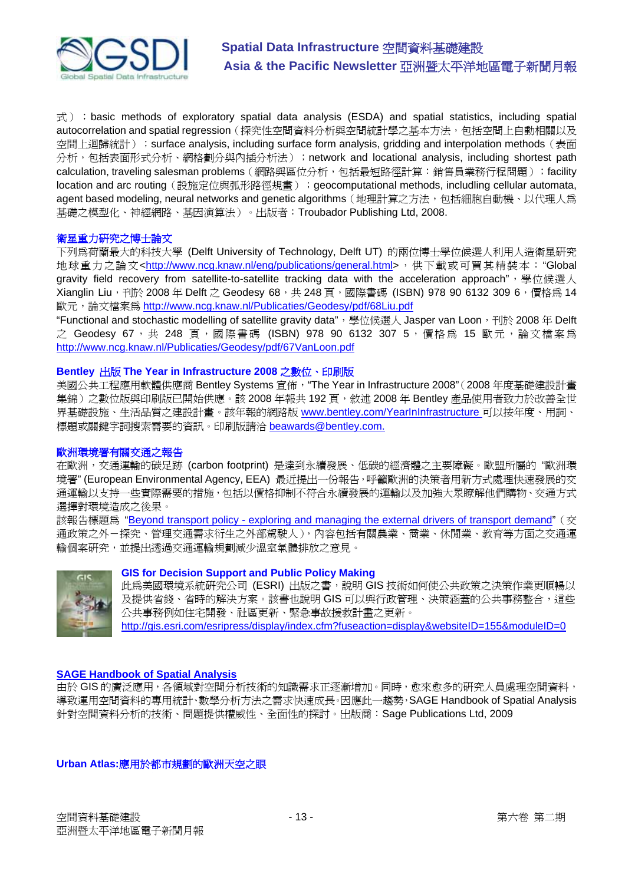

 $\vec{\pi}$ ) ; basic methods of exploratory spatial data analysis (ESDA) and spatial statistics, including spatial autocorrelation and spatial regression (探究性空間資料分析與空間統計學之基本方法,包括空間上自動相關以及 空間上迴歸統計); surface analysis, including surface form analysis, gridding and interpolation methods (表面 分析,包括表面形式分析、網格劃分與內插分析法);network and locational analysis, including shortest path calculation, traveling salesman problems (網路與區位分析,包括最短路徑計算:銷售員業務行程問題); facility location and arc routing (設施定位與弧形路徑規畫); geocomputational methods, includling cellular automata, agent based modeling, neural networks and genetic algorithms (地理計算之方法,包括細胞自動機、以代理人爲 基礎之模型化、神經網路、基因演算法)。出版者:Troubador Publishing Ltd, 2008.

## 衛星重力研究之博士論文

下列為荷蘭最大的科技大學 (Delft University of Technology, Delft UT) 的兩位博士學位候選人利用人造衛星研究 地球重力之論文<[http://www.ncg.knaw.nl/eng/publications/general.html>](http://www.ncg.knaw.nl/eng/publications/general.html%3E%EF%BC%8C%E4%BE%9B%E4%B8%8B%E8%BC%89%E6%88%96%E5%8F%AF%E8%B2%B7%E5%85%B6%E7%B2%BE%E8%A3%9D%E6%9C%AC%EF%BC%9A%E2%80%9CGlobal),供下載或可買其精裝本:"Global gravity field recovery from satellite-to-satellite tracking data with the acceleration approach", 學位候選人 Xianglin Liu,刊於 2008年 Delft 之 Geodesy 68,共 248 頁,國際書碼 (ISBN) 978 90 6132 309 6, 價格為 14 歐元,論文檔案為 <http://www.ncg.knaw.nl/Publicaties/Geodesy/pdf/68Liu.pdf>

"Functional and stochastic modelling of satellite gravity data", 學位候選人 Jasper van Loon, 刊於 2008 年 Delft 之 Geodesy 67, 共 248 頁,國際書碼 (ISBN) 978 90 6132 307 5, 價格為 15 歐元,論文檔案為 <http://www.ncg.knaw.nl/Publicaties/Geodesy/pdf/67VanLoon.pdf>

## **Bentley** 出版 **The Year in Infrastructure 2008** 之數位、印刷版

美國公共工程應用軟體供應商 Bentley Systems 宣佈,"The Year in Infrastructure 2008"(2008 年度基礎建設計畫 集錦)之數位版與印刷版已開始供應。該 2008 年報共 192 頁,敘述 2008 年 Bentley 產品使用者致力於改善全世 界基礎設施、生活品質之建設計畫。該年報的網路版 www.bentley.com/YearInInfrastructure 可以按年度、用詞、 標題或關鍵字詞搜索需要的資訊。印刷版請洽 beawards@bentley.com.

# 歐洲環境署有關交通之報告

在歐洲,交通運輸的碳足跡 (carbon footprint) 是達到永續發展、低碳的經濟體之主要障礙。歐盟所屬的 "歐洲環 境署" (European Environmental Agency, EEA) 最近提出一份報告,呼籲歐洲的決策者用新方式處理快速發展的交 通運輸以支持一些實際需要的措施,包括以價格抑制不符合永續發展的運輸以及加強大眾瞭解他們購物、交通方式 選擇對環境造成之後果。

該報告標題為 "Beyond transport policy - exploring and managing the external drivers of transport demand" (交 通政策之外-探究、管理交通需求衍生之外部駕駛人),內容包括有關農業、商業、休閒業、教育等方面之交通運 輸個案研究,並提出透過交通運輸規劃減少溫室氣體排放之意見。



# **GIS for Decision Support and Public Policy Making**

此爲美國環境系統研究公司(ESRI)出版之書,說明 GIS 技術如何使公共政策之決策作業更順暢以 及提供省錢、省時的解決方案。該書也說明 GIS 可以與行政管理、決策涵蓋的公共事務整合,這些 公共事務例如住宅開發、社區更新、緊急事故援救計畫之更新。

<http://gis.esri.com/esripress/display/index.cfm?fuseaction=display&websiteID=155&moduleID=0>

# **SAGE Handbook of Spatial Analysis**

由於 GIS 的廣泛應用,各領域對空間分析技術的知識需求正逐漸增加。同時,愈來愈多的研究人員處理空間資料, 導致運用空間資料的專用統計、數學分析方法之需求快速成長。因應此一趨勢, SAGE Handbook of Spatial Analysis 針對空間資料分析的技術、問題提供權威性、全面性的探討。出版商:Sage Publications Ltd, 2009

**Urban Atlas:**應用於都市規劃的歐洲天空之眼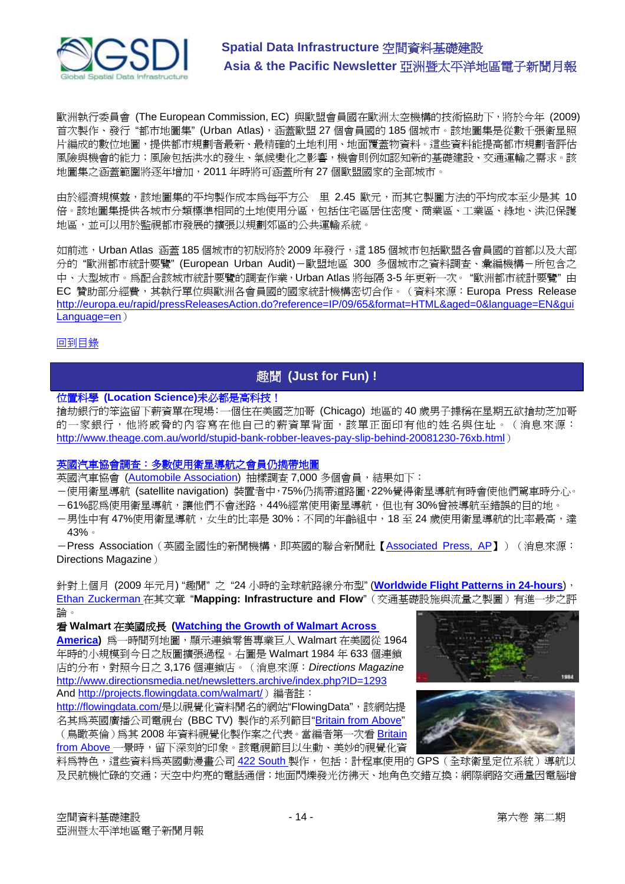

歐洲執行委員會 (The European Commission, EC) 與歐盟會員國在歐洲太空機構的技術協助下,將於今年 (2009) 首次製作、發行"都市地圖集"(Urban Atlas), 涵蓋歐盟 27 個會員國的 185 個城市。該地圖集是從數千張衛星照 片編成的數位地圖,提供都市規劃者最新、最精確的土地利用、地面覆蓋物資料。這些資料能提高都市規劃者評估 風險與機會的能力;風險包括洪水的發生、氣候變化之影響,機會則例如認知新的基礎建設、交通運輸之需求。該 地圖集之涵蓋範圍將逐年增加,2011 年時將可涵蓋所有 27 個歐盟國家的全部城市。

由於經濟規模效益,該地圖集的平均製作成本為每平方公 里 2.45 歐元,而其它製圖方法的平均成本至少是其 10 倍。該地圖集提供各城市分類標準相同的土地使用分區,包括住宅區居住密度、商業區、工業區、綠地、洪氾保護 地區,並可以用於監視都市發展的擴張以規劃郊區的公共運輸系統。

如前沭,Urban Atlas 涵蓋 185 個城市的初版將於 2009 年發行,這 185 個城市包括歐盟各會員國的首都以及大部 分的"歐洲都市統計要覽" (European Urban Audit)-歐盟地區 300 多個城市之資料調査、彙編機構-所包含之 中、大型城市。為配合該城市統計要覽的調查作業,Urban Atlas 將每隔 3-5 年更新一次。 "歐洲都市統計要覽" 由 EC 贊助部分經費,其執行單位與歐洲各會員國的國家統計機構密切合作。(資料來源:Europa Press Release <http://europa.eu/rapid/pressReleasesAction.do?reference=IP/09/65&format=HTML&aged=0&language=EN&gui> Language=en)

回到目錄

# 趣聞 **(Just for Fun) !**

# 位置科學 **(Location Science)**未必都是高科技!

搶劫銀行的笨盜留下薪資單在現場:一個住在美國芝加哥 (Chicago) 地區的 40 歲男子據稱在星期五欲搶劫芝加哥 的一家銀行,他將戚脅的內容寫在他自己的薪資單背面,該單正面印有他的姓名與住址。(消息來源: <http://www.theage.com.au/world/stupid-bank-robber-leaves-pay-slip-behind-20081230-76xb.html>)

# 英國汽車協會調查:多數使用衛星導航之會員仍擕帶地圖

英國汽車協會 (Automobile Association) 抽樣調查 7,000 多個會員,結果如下:

- -使用衛星導航 (satellite navigation) 裝置者中,75%仍擕帶道路圖,22%覺得衛星導航有時會使他們駕車時分心。
- -61%認為使用衛星導航,讓他們不會迷路,44%經常使用衛星導航,但也有 30%曾被導航至錯誤的目的地。
- –男性中有 47%使用衛星導航,女生的比率是 30%;不同的年齡組中,18 至 24 歲使用衛星導航的比率最高,達 43%。

- Press Association (英國全國性的新聞機構,即英國的聯合新聞社【Associated Press, AP】)(消息來源: Directions Magazine)

針對上個月 (2009 年元月) "趣聞" 之 "24 小時的全球航路線分布型" (**Worldwide Flight Patterns in 24-hours**), Ethan Zuckerman 在其文章 "**Mapping: Infrastructure and Flow**"(交通基礎設施與流量之製圖)有進一步之評 論。

# 看 **Walmart** 在美國成長 **(Watching the Growth of Walmart Across**

**America)** 為一時間列地圖,顯示連鎖零售專業巨人 Walmart 在美國從 1964 年時的小規模到今日之版圖擴張過程。右圖是 Walmart 1984 年 633 個連鎖 店的分布,對照今日之 3,176 個連鎖店。(消息來源:*Directions Magazine* <http://www.directionsmedia.net/newsletters.archive/index.php?ID=1293> And [http://projects.flowingdata.com/walmart/](http://projects.flowingdata.com/walmart/%EF%BC%89%E7%B7%A8%E8%80%85%E8%A8%BB%EF%BC%9A))編者註:

http://flowingdata.com/[是以視覺化資料聞名的網站](http://flowingdata.com/%E6%98%AF%E4%BB%A5%E8%A6%96%E8%A6%BA%E5%8C%96%E8%B3%87%EF%A6%BE%E8%81%9E%E5%90%8D%E7%9A%84%E7%B6%B2%E7%AB%99%E2%80%9CFlowingData%E2%80%9D%EF%BC%8C%E8%A9%B2%E7%B6%B2%E7%AB%99%E6%8F%90)"FlowingData",該網站提 名其為英國廣播公司電視台 (BBC TV) 製作的系列節目"Britain from Above"

(鳥瞰英倫)為其 2008 年資料視覺化製作案之代表。當編者第一次看 Britain from Above 一景時,留下深刻的印象。該電視節目以生動、美妙的視覺化資





料為特色,這些資料為英國動漫畫公司 422 South 製作,包括:計程車使用的 GPS (全球衛星定位系統)導航以 及民航機忙碌的交通;天空中灼亮的電話通信;地面閃爍發光彷彿天、地角色交錯互換;網際網路交通量因電腦增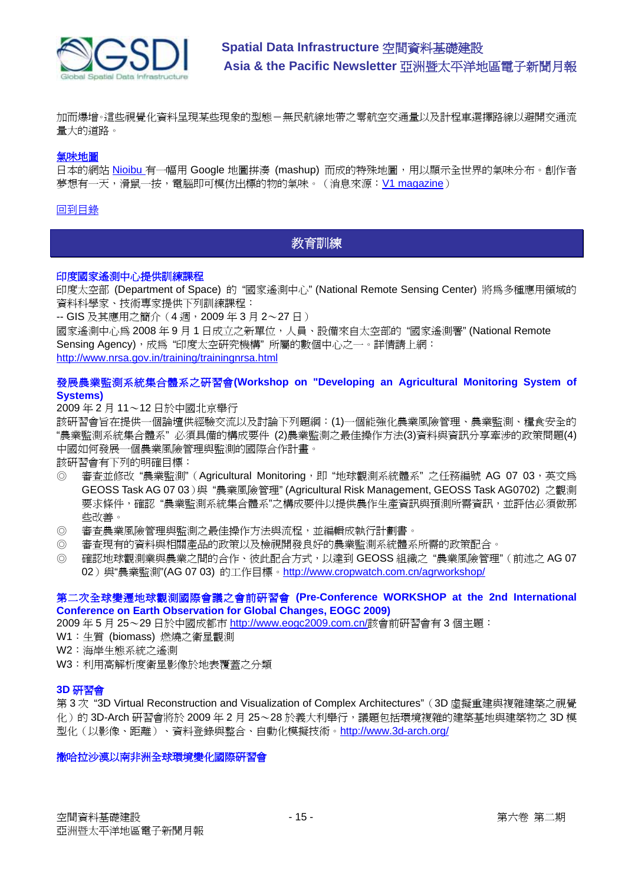

加而爆增。這些視覺化資料呈現某些現象的型態-無民航線地帶之零航空交通量以及計程車選擇路線以避開交通流 量大的道路。

#### 氣味地圖

日本的網站 Nioibu 有一幅用 Google 地圖拼湊 (mashup) 而成的特殊地圖,用以顯示全世界的氣味分布。創作者 夢想有一天,滑鼠一按,電腦即可模仿出標的物的氣味。(消息來源: V1 magazine)

#### 回到目錄

# 教育訓練

#### 印度國家遙測中心提供訓練課程

印度太空部 (Department of Space) 的 "國家遙測中心" (National Remote Sensing Center) 將為多種應用領域的 資料科學家、技術專家提供下列訓練課程:

-- GIS 及其應用之簡介(4 週,2009 年 3 月 2~27 日)

國家遙測中心為 2008 年 9 月 1 日成立之新單位,人員、設備來自太空部的 "國家遙測署" (National Remote Sensing Agency),成為 "印度太空研究機構" 所屬的數個中心之一。詳情請上網: <http://www.nrsa.gov.in/training/trainingnrsa.html>

# 發展農業監測系統集合體系之研習會**(Workshop on "Developing an Agricultural Monitoring System of Systems)**

2009 年 2 月 11~12 日於中國北京舉行

該研習會旨在提供一個論壇供經驗交流以及討論下列題綱:(1)一個能強化農業風險管理、農業監測、糧食安全的 "農業監測系統集合體系" 必須具備的構成要件 (2)農業監測之最佳操作方法(3)資料與資訊分享牽涉的政策問題(4) 中國如何發展一個農業風險管理與監測的國際合作計畫。

該研習會有下列的明確目標:

- © 審查並修改"農業監測"(Agricultural Monitoring, 即"地球觀測系統體系"之任務編號 AG 07 03, 英文為 GEOSS Task AG 07 03)與 "農業風險管理" (Agricultural Risk Management, GEOSS Task AG0702) 之觀測 要求條件,確認"農業監測系統集合體系"之構成要件以提供農作生產資訊與預測所需資訊,並評估必須做那 些改善。
- ◎ 審查農業風險管理與監測之最佳操作方法與流程,並編輯成執行計劃書。
- ◎ 審查現有的資料與相關產品的政策以及檢視開發良好的農業監測系統體系所需的政策配合。
- ◎ 確認地球觀測業與農業之間的合作、彼此配合方式,以達到 GEOSS 組織之 "農業風險管理"(前述之 AG 07 02)與"農業監測"(AG 07 03) 的工作目標。<http://www.cropwatch.com.cn/agrworkshop/>

## 第二次全球變遷地球觀測國際會議之會前研習會 **(Pre-Conference WORKSHOP at the 2nd International Conference on Earth Observation for Global Changes, EOGC 2009)**

2009 年 5 月 25~29 日於中國成都市 [http://www.eogc2009.com.cn/](http://www.eogc2009.com.cn/%E8%A9%B2%E6%9C%83%E5%89%8D%E7%A0%94%E7%BF%92%E6%9C%83%E6%9C%893)該會前研習會有 3 個主題:

- W1:生質 (biomass) 燃燒之衛星觀測
- W2:海岸生態系統之遙測
- W3:利用高解析度衛星影像於地表覆蓋之分類

#### **3D** 研習會

第 3 次 "3D Virtual Reconstruction and Visualization of Complex Architectures" (3D 虛擬重建與複雜建築之視覺 化)的 3D-Arch 研習會將於 2009年2月 25~28於義大利舉行,議題包括環境複雜的建築基地與建築物之 3D模 型化(以影像、距離)、資料登錄與整合、自動化模擬技術。<http://www.3d-arch.org/>

#### 撒哈拉沙漠以南非洲全球環境變化國際研習會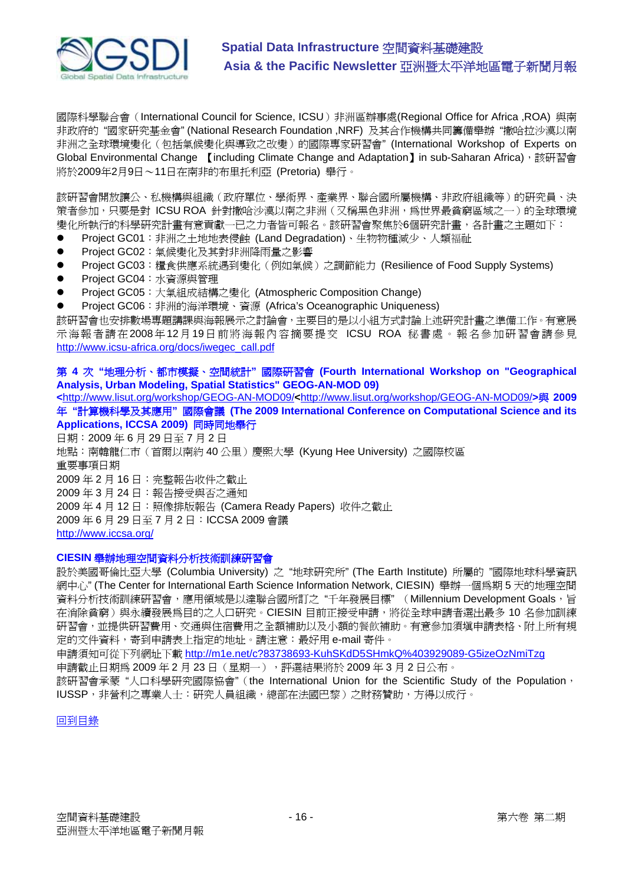

國際科學聯合會(International Council for Science, ICSU)非洲區辦事處(Regional Office for Africa ,ROA) 與南 非政府的 "國家研究基金會" (National Research Foundation ,NRF) 及其合作機構共同籌備舉辦 "撒哈拉沙漠以南 非洲之全球環境變化(包括氣候變化與導致之改變)的國際專家研習會" (International Workshop of Experts on Global Environmental Change 【including Climate Change and Adaptation】in sub-Saharan Africa),該研習會 將於2009年2月9日~11日在南非的布里托利亞 (Pretoria) 舉行。

該研習會開放讓公、私機構與組織(政府單位、學術界、產業界、聯合國所屬機構、非政府組織等)的研究員、決 策者參加,只要是對 ICSU ROA 針對撒哈沙漠以南之非洲(又稱黑色非洲,為世界最貧窮區域之一)的全球環境 變化所執行的科學研究計畫有意貢獻一已之力者皆可報名。該研習會聚焦於6個研究計畫,各計畫之主題如下:

- Project GC01: 非洲之十地地表侵蝕 (Land Degradation)、牛物物種減少、人類福祉
- Project GC02: 氣候變化及其對非洲降雨量之影響
- Project GC03: 糧食供應系統遇到變化(例如氣候)之調節能力 (Resilience of Food Supply Systems)
- Project GC04: 水資源與管理
- Project GC05: 大氣組成結構之變化 (Atmospheric Composition Change)
- Project GC06: 非洲的海洋環境、資源 (Africa's Oceanographic Uniqueness)

該研習會也安排數場專題講課與海報展示之討論會,主要目的是以小組方式討論上述研究計畫之準備工作。有意展 示海報者請在2008年12月19日前將海報內容摘要提交 ICSU ROA 秘書處。報名參加研習會請參見 [http://www.icsu-africa.org/docs/iwegec\\_call.pdf](http://www.icsu-africa.org/docs/iwegec_call.pdf)

# 第 **4** 次 **"**地理分析、都市模擬、空間統計**"** 國際研習會 **(Fourth International Workshop on "Geographical Analysis, Urban Modeling, Spatial Statistics" GEOG-AN-MOD 09)**

**<**<http://www.lisut.org/workshop/GEOG-AN-MOD09/>**<**[http://www.lisut.org/workshop/GEOG-AN-MOD09/](http://www.lisut.org/workshop/GEOG-AN-MOD09/%3E%E8%88%872009)**>**與 **2009** 年 **"**計算機科學及其應用**"** 國際會議 **(The 2009 International Conference on Computational Science and its Applications, ICCSA 2009)** 同時同地舉行

日期:2009 年 6 月 29 日至 7 月 2 日 地點:南韓龍仁市(首爾以南約 40 公里)慶熙大學 (Kyung Hee University) 之國際校區 重要事項日期 2009 年 2 月 16 日:完整報告收件之截止 2009 年 3 月 24 日:報告接受與否之通知 2009 年 4 月 12 日:照像排版報告 (Camera Ready Papers) 收件之截止 2009 年 6 月 29 日至 7 月 2 日:ICCSA 2009 會議 <http://www.iccsa.org/>

#### **CIESIN** 舉辦地理空間資料分析技術訓練研習會

設於美國哥倫比亞大學 (Columbia University) 之 "地球研究所" (The Earth Institute) 所屬的 "國際地球科學資訊 網中心" (The Center for International Earth Science Information Network, CIESIN) 舉辦一個為期 5 天的地理空間 資料分析技術訓練研習會,應用領域是以達聯合國所訂之"千年發展目標" (Millennium Development Goals, 旨 在消除貧窮)與永續發展為目的之人口研究。CIESIN 目前正接受申請,將從全球申請者選出最多 10 名參加訓練 研習會,並提供研習費用、交通與住宿費用之全額補助以及小額的餐飲補助。有意參加須填申請表格、附上所有規 定的文件資料,寄到申請表上指定的地址。請注意:最好用 e-mail 寄件。

申請須知可從下列網址下載 <http://m1e.net/c?83738693-KuhSKdD5SHmkQ%403929089-G5izeOzNmiTzg>

申請截止日期為 2009年2月23日(星期一),評選結果將於 2009年3月2日公布。

該研習會承蒙 "人口科學研究國際協會"(the International Union for the Scientific Study of the Population, IUSSP,非營利之專業人士:研究人員組織,總部在法國巴黎)之財務贊助,方得以成行。

回到目錄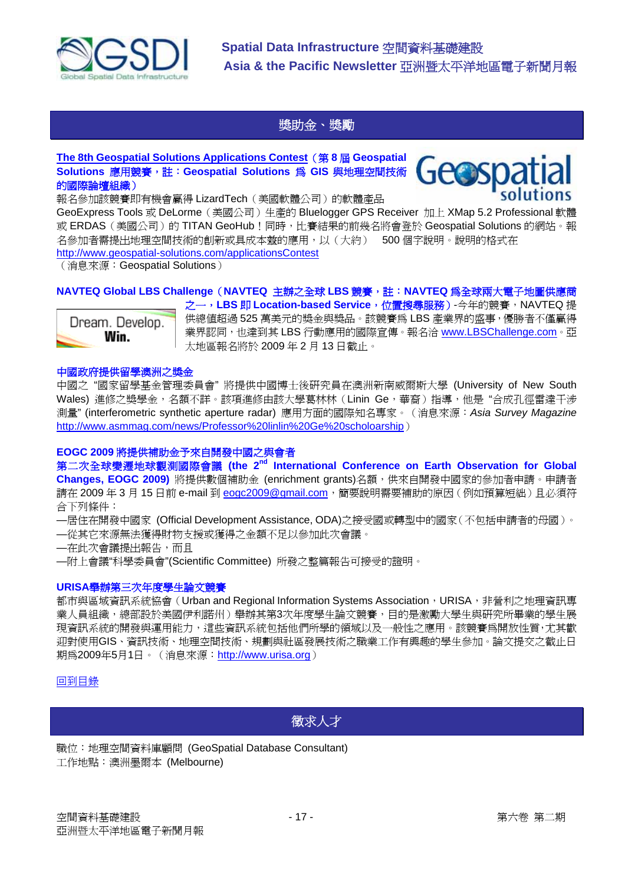

# 獎助金、獎勵

# **The 8th Geospatial Solutions Applications Contest**(第 **8** 屆 **Geospatial Solutions** 應用競賽,註:**Geospatial Solutions** 為 **GIS** 與地理空間技術 的國際論壇組織)

報名參加該競賽即有機會贏得 LizardTech(美國軟體公司)的軟體產品

GeoExpress Tools 或 DeLorme(美國公司)生產的 Bluelogger GPS Receiver 加上 XMap 5.2 Professional 軟體 或 ERDAS (美國公司)的 TITAN GeoHub ! 同時, 比賽結果的前幾名將會登於 Geospatial Solutions 的網站。報 名參加者需提出地理空間技術的創新或具成本辦的應用,以(大約) 500個字說明。說明的格式在 <http://www.geospatial-solutions.com/applicationsContest>

(消息來源:Geospatial Solutions)

# **NAVTEQ Global LBS Challenge**(**NAVTEQ** 主辦之全球 **LBS** 競賽,註:**NAVTEQ** 為全球兩大電子地圖供應商



之一,LBS 即 Location-based Service,位置搜尋服務)-今年的競賽,NAVTEQ 提 供總值超過 525 萬美元的獎金與獎品。該競賽為 LBS 產業界的盛事,優勝者不僅贏得 業界認同,也達到其 LBS 行動應用的國際宣傳。報名洽 www.LBSChallenge.com。亞 太地區報名將於 2009 年 2 月 13 日截止。

## 中國政府提供留學澳洲之獎金

中國之 "國家留學基金管理委員會" 將提供中國博士後研究員在澳洲新南威爾斯大學 (University of New South Wales) 進修之獎學金, 名額不詳。該項進修由該大學葛林林 (Linin Ge, 華裔) 指導, 他是"合成孔徑雷達干涉 測量" (interferometric synthetic aperture radar) 應用方面的國際知名專家。(消息來源:*Asia Survey Magazine* <http://www.asmmag.com/news/Professor%20linlin%20Ge%20scholoarship>)

# **EOGC 2009** 將提供補助金予來自開發中國之與會者

第二次全球變遷地球觀測國際會議 **(the 2nd International Conference on Earth Observation for Global Changes, EOGC 2009)** 將提供數個補助金 (enrichment grants)名額, 供來自開發中國家的參加者申請。申請者 請在 2009年3月15日前 e-mail 到 eogc2009@gmail.com,隨要說明需要補助的原因(例如預算短絀)且必須符 合下列條件:

—居住在開發中國家 (Official Development Assistance, ODA)之接受國或轉型中的國家(不包括申請者的母國)。

- —從其它來源無法獲得財物支援或獲得之金額不足以參加此次會議。
- —在此次會議提出報告,而且
- —附上會議"科學委員會"(Scientific Committee) 所發之整篇報告可接受的證明。

#### **URISA**舉辦第三次年度學生論文競賽

都市與區域資訊系統協會(Urban and Regional Information Systems Association, URISA, 非營利之地理資訊專 業人員組織,總部設於美國伊利諾州)舉辦其第3次年度學生論文競賽,目的是激勵大學生與研究所畢業的學生展 現資訊系統的開發與運用能力,這些資訊系統包括他們所學的領域以及一般性之應用。該競賽為開放性質,尤其歡 迎對使用GIS、資訊技術、地理空間技術、規劃與社區發展技術之職業工作有興趣的學生參加。論文提交之截止日 期為2009年5月1日。(消息來源:<http://www.urisa.org>)

# 回到目錄

# 徵求人才

職位:地理空間資料庫顧問 (GeoSpatial Database Consultant) 工作地點:澳洲墨爾本 (Melbourne)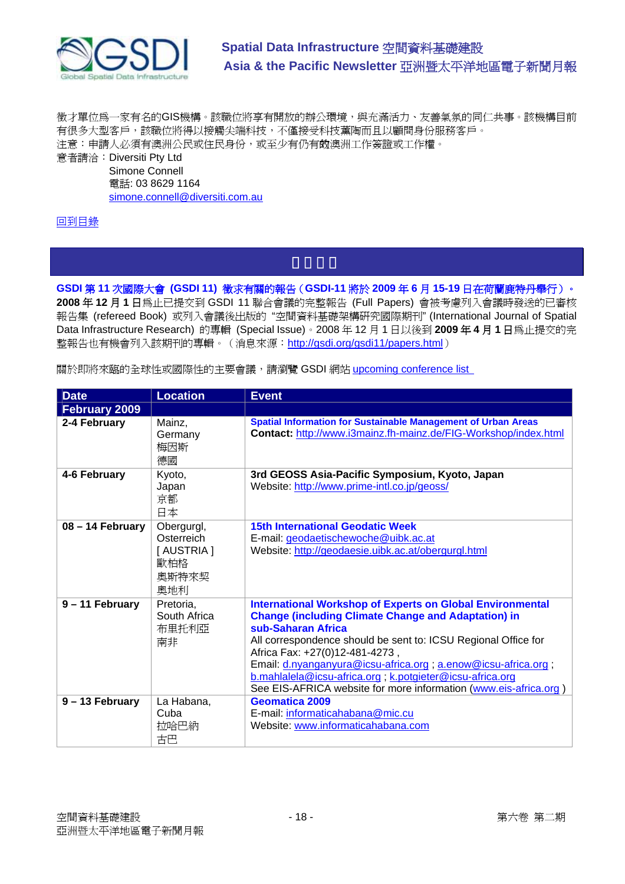

徵才單位為一家有名的GIS機構。該職位將享有開放的辦公環境,與充滿活力、友善氣氛的同仁共事。該機構目前 有很多大型客戶,該職位將得以接觸尖端科技,不僅接受科技薰陶而且以顧問身份服務客戶。 注意:申請人必須有澳洲公民或住民身份,或至少有仍有效澳洲工作簽證或工作權。

意者請洽:Diversiti Pty Ltd Simone Connell 電話: 03 8629 1164 simone.connell@diversiti.com.au

# 回到目錄

**GSDI** 第 **11** 次國際大會 **(GSDI 11)** 徵求有關的報告(**GSDI-11** 將於 **2009** 年 **6** 月 **15-19** 日在荷蘭鹿特丹舉行)。 **2008** 年 **12** 月 **1** 日為止已提交到 GSDI 11 聯合會議的完整報告 (Full Papers) 會被考慮列入會議時發送的已審核 報告集 (refereed Book) 或列入會議後出版的 "空間資料基礎架構研究國際期刊" (International Journal of Spatial Data Infrastructure Research) 的專輯 (Special Issue)。2008 年 12 月 1 日以後到 **2009** 年 **4** 月 **1** 日為止提交的完 整報告也有機會列入該期刊的專輯。(消息來源: <http://gsdi.org/gsdi11/papers.html>)

關於即將來臨的全球性或國際性的主要會議,請瀏覽 GSDI 網站 upcoming conference list

| <b>Date</b>          | <b>Location</b>                                              | <b>Event</b>                                                                                                                                                                                                                                                                                                                                                                                                                                                |
|----------------------|--------------------------------------------------------------|-------------------------------------------------------------------------------------------------------------------------------------------------------------------------------------------------------------------------------------------------------------------------------------------------------------------------------------------------------------------------------------------------------------------------------------------------------------|
| <b>February 2009</b> |                                                              |                                                                                                                                                                                                                                                                                                                                                                                                                                                             |
| 2-4 February         | Mainz,<br>Germany<br>梅因斯<br>德國                               | <b>Spatial Information for Sustainable Management of Urban Areas</b><br>Contact: http://www.i3mainz.fh-mainz.de/FIG-Workshop/index.html                                                                                                                                                                                                                                                                                                                     |
| 4-6 February         | Kyoto,<br>Japan<br>京都<br>日本                                  | 3rd GEOSS Asia-Pacific Symposium, Kyoto, Japan<br>Website: http://www.prime-intl.co.jp/geoss/                                                                                                                                                                                                                                                                                                                                                               |
| 08 - 14 February     | Obergurgl,<br>Osterreich<br>[AUSTRIA]<br>歐柏格<br>奧斯特來契<br>奧地利 | <b>15th International Geodatic Week</b><br>E-mail: geodaetischewoche@uibk.ac.at<br>Website: http://geodaesie.uibk.ac.at/obergurgl.html                                                                                                                                                                                                                                                                                                                      |
| 9 - 11 February      | Pretoria,<br>South Africa<br>布里托利亞<br>南非                     | <b>International Workshop of Experts on Global Environmental</b><br><b>Change (including Climate Change and Adaptation) in</b><br>sub-Saharan Africa<br>All correspondence should be sent to: ICSU Regional Office for<br>Africa Fax: +27(0)12-481-4273,<br>Email: d.nyanganyura@icsu-africa.org ; a.enow@icsu-africa.org ;<br>b.mahlalela@icsu-africa.org; k.potgieter@icsu-africa.org<br>See EIS-AFRICA website for more information (www.eis-africa.org) |
| $9 - 13$ February    | La Habana,<br>Cuba<br>拉哈巴納<br>古巴                             | <b>Geomatica 2009</b><br>E-mail: informaticahabana@mic.cu<br>Website: www.informaticahabana.com                                                                                                                                                                                                                                                                                                                                                             |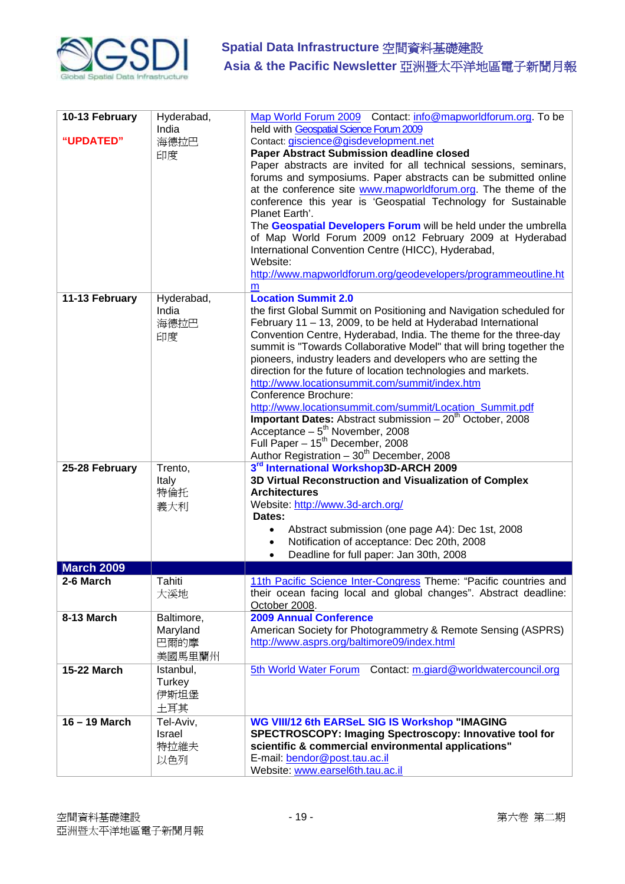

| 10-13 February<br>"UPDATED" | Hyderabad,<br>India<br>海德拉巴<br>印度        | Map World Forum 2009 Contact: info@mapworldforum.org. To be<br>held with Geospatial Science Forum 2009<br>Contact: giscience@gisdevelopment.net<br><b>Paper Abstract Submission deadline closed</b><br>Paper abstracts are invited for all technical sessions, seminars,<br>forums and symposiums. Paper abstracts can be submitted online<br>at the conference site www.mapworldforum.org. The theme of the<br>conference this year is 'Geospatial Technology for Sustainable<br>Planet Earth'.<br>The Geospatial Developers Forum will be held under the umbrella<br>of Map World Forum 2009 on12 February 2009 at Hyderabad<br>International Convention Centre (HICC), Hyderabad,<br>Website:<br>http://www.mapworldforum.org/geodevelopers/programmeoutline.ht<br>m                                      |
|-----------------------------|------------------------------------------|--------------------------------------------------------------------------------------------------------------------------------------------------------------------------------------------------------------------------------------------------------------------------------------------------------------------------------------------------------------------------------------------------------------------------------------------------------------------------------------------------------------------------------------------------------------------------------------------------------------------------------------------------------------------------------------------------------------------------------------------------------------------------------------------------------------|
| 11-13 February              | Hyderabad,<br>India<br>海德拉巴<br>印度        | <b>Location Summit 2.0</b><br>the first Global Summit on Positioning and Navigation scheduled for<br>February 11 - 13, 2009, to be held at Hyderabad International<br>Convention Centre, Hyderabad, India. The theme for the three-day<br>summit is "Towards Collaborative Model" that will bring together the<br>pioneers, industry leaders and developers who are setting the<br>direction for the future of location technologies and markets.<br>http://www.locationsummit.com/summit/index.htm<br>Conference Brochure:<br>http://www.locationsummit.com/summit/Location_Summit.pdf<br><b>Important Dates:</b> Abstract submission $-20th$ October, 2008<br>Acceptance $-5^{th}$ November, 2008<br>Full Paper - 15 <sup>th</sup> December, 2008<br>Author Registration - 30 <sup>th</sup> December, 2008 |
| 25-28 February              | Trento,<br>Italy<br>特倫托<br>義大利           | 3rd International Workshop3D-ARCH 2009<br>3D Virtual Reconstruction and Visualization of Complex<br><b>Architectures</b><br>Website: http://www.3d-arch.org/<br>Dates:<br>Abstract submission (one page A4): Dec 1st, 2008<br>Notification of acceptance: Dec 20th, 2008<br>Deadline for full paper: Jan 30th, 2008<br>$\bullet$                                                                                                                                                                                                                                                                                                                                                                                                                                                                             |
| <b>March 2009</b>           |                                          |                                                                                                                                                                                                                                                                                                                                                                                                                                                                                                                                                                                                                                                                                                                                                                                                              |
| 2-6 March                   | Tahiti<br>大溪地                            | 11th Pacific Science Inter-Congress Theme: "Pacific countries and<br>their ocean facing local and global changes". Abstract deadline:<br>October 2008.                                                                                                                                                                                                                                                                                                                                                                                                                                                                                                                                                                                                                                                       |
| 8-13 March                  | Baltimore,<br>Maryland<br>巴爾的摩<br>美國馬里蘭州 | <b>2009 Annual Conference</b><br>American Society for Photogrammetry & Remote Sensing (ASPRS)<br>http://www.asprs.org/baltimore09/index.html                                                                                                                                                                                                                                                                                                                                                                                                                                                                                                                                                                                                                                                                 |
| <b>15-22 March</b>          | Istanbul,<br>Turkey<br>伊斯坦堡<br>土耳其       | 5th World Water Forum<br>Contact: m.giard@worldwatercouncil.org                                                                                                                                                                                                                                                                                                                                                                                                                                                                                                                                                                                                                                                                                                                                              |
| 16 - 19 March               | Tel-Aviv,<br>Israel<br>特拉維夫<br>以色列       | WG VIII/12 6th EARSeL SIG IS Workshop "IMAGING<br>SPECTROSCOPY: Imaging Spectroscopy: Innovative tool for<br>scientific & commercial environmental applications"<br>E-mail: bendor@post.tau.ac.il<br>Website: www.earsel6th.tau.ac.il                                                                                                                                                                                                                                                                                                                                                                                                                                                                                                                                                                        |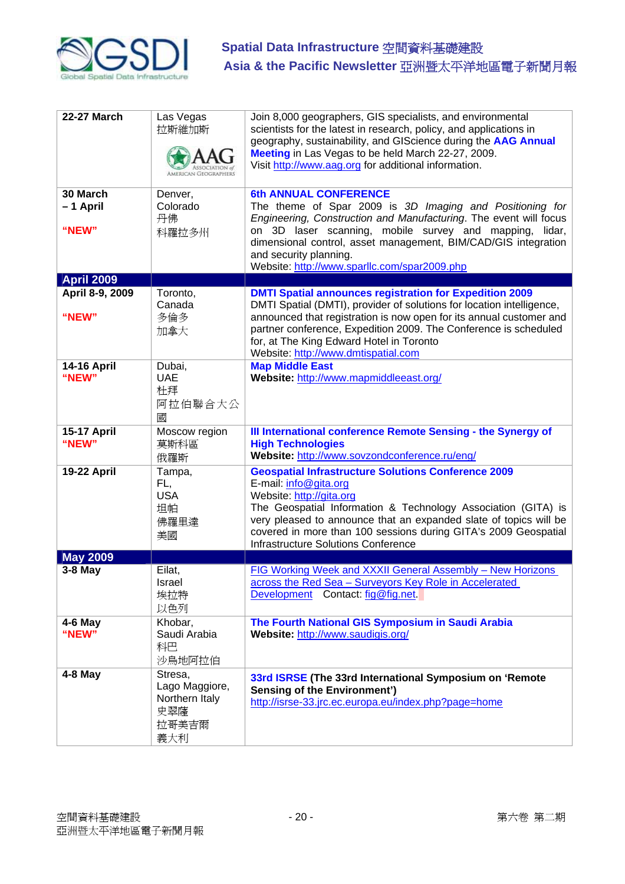

| <b>22-27 March</b>            | Las Vegas<br>拉斯維加斯<br><b>AMERICAN GEOGRAPHERS</b>                  | Join 8,000 geographers, GIS specialists, and environmental<br>scientists for the latest in research, policy, and applications in<br>geography, sustainability, and GIScience during the AAG Annual<br>Meeting in Las Vegas to be held March 22-27, 2009.<br>Visit http://www.aag.org for additional information.                                                       |
|-------------------------------|--------------------------------------------------------------------|------------------------------------------------------------------------------------------------------------------------------------------------------------------------------------------------------------------------------------------------------------------------------------------------------------------------------------------------------------------------|
| 30 March<br>-1 April<br>"NEW" | Denver,<br>Colorado<br>丹佛<br>科羅拉多州                                 | <b>6th ANNUAL CONFERENCE</b><br>The theme of Spar 2009 is 3D Imaging and Positioning for<br>Engineering, Construction and Manufacturing. The event will focus<br>on 3D laser scanning, mobile survey and mapping, lidar,<br>dimensional control, asset management, BIM/CAD/GIS integration<br>and security planning.<br>Website: http://www.sparllc.com/spar2009.php   |
| <b>April 2009</b>             |                                                                    |                                                                                                                                                                                                                                                                                                                                                                        |
| April 8-9, 2009<br>"NEW"      | Toronto,<br>Canada<br>多倫多<br>加拿大                                   | <b>DMTI Spatial announces registration for Expedition 2009</b><br>DMTI Spatial (DMTI), provider of solutions for location intelligence,<br>announced that registration is now open for its annual customer and<br>partner conference, Expedition 2009. The Conference is scheduled<br>for, at The King Edward Hotel in Toronto<br>Website: http://www.dmtispatial.com  |
|                               |                                                                    |                                                                                                                                                                                                                                                                                                                                                                        |
| <b>14-16 April</b><br>"NEW"   | Dubai,<br><b>UAE</b><br>杜拜<br>阿拉伯聯合大公<br>國                         | <b>Map Middle East</b><br>Website: http://www.mapmiddleeast.org/                                                                                                                                                                                                                                                                                                       |
| <b>15-17 April</b><br>"NEW"   | Moscow region<br>莫斯科區<br>俄羅斯                                       | III International conference Remote Sensing - the Synergy of<br><b>High Technologies</b><br>Website: http://www.sovzondconference.ru/eng/                                                                                                                                                                                                                              |
| 19-22 April                   | Tampa,<br>FL,<br><b>USA</b><br>坦帕<br>佛羅里達<br>美國                    | <b>Geospatial Infrastructure Solutions Conference 2009</b><br>E-mail: info@gita.org<br>Website: http://gita.org<br>The Geospatial Information & Technology Association (GITA) is<br>very pleased to announce that an expanded slate of topics will be<br>covered in more than 100 sessions during GITA's 2009 Geospatial<br><b>Infrastructure Solutions Conference</b> |
| <b>May 2009</b>               |                                                                    |                                                                                                                                                                                                                                                                                                                                                                        |
| $3-8$ May                     | Eilat,<br>Israel<br>埃拉特<br>以色列                                     | FIG Working Week and XXXII General Assembly - New Horizons<br>across the Red Sea - Surveyors Key Role in Accelerated<br><b>Development</b><br>Contact: fig@fig.net                                                                                                                                                                                                     |
| $4-6$ May<br>"NEW"            | Khobar,<br>Saudi Arabia<br>科巴<br>沙烏地阿拉伯                            | The Fourth National GIS Symposium in Saudi Arabia<br>Website: http://www.saudigis.org/                                                                                                                                                                                                                                                                                 |
| $4-8$ May                     | Stresa,<br>Lago Maggiore,<br>Northern Italy<br>史翠薩<br>拉哥美吉爾<br>義大利 | 33rd ISRSE (The 33rd International Symposium on 'Remote<br><b>Sensing of the Environment')</b><br>http://isrse-33.jrc.ec.europa.eu/index.php?page=home                                                                                                                                                                                                                 |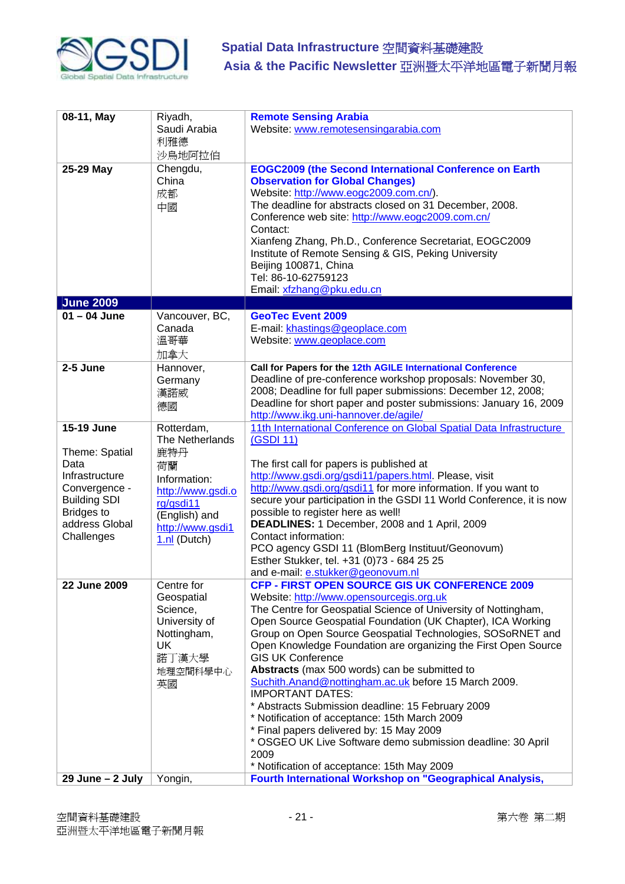

| 08-11, May                                                                                                                                          | Riyadh,                                                                                                                                             | <b>Remote Sensing Arabia</b>                                                                                                                                                                                                                                                                                                                                                                                                                                                                                                                                                                                                                                                                                                                                                                               |
|-----------------------------------------------------------------------------------------------------------------------------------------------------|-----------------------------------------------------------------------------------------------------------------------------------------------------|------------------------------------------------------------------------------------------------------------------------------------------------------------------------------------------------------------------------------------------------------------------------------------------------------------------------------------------------------------------------------------------------------------------------------------------------------------------------------------------------------------------------------------------------------------------------------------------------------------------------------------------------------------------------------------------------------------------------------------------------------------------------------------------------------------|
|                                                                                                                                                     | Saudi Arabia<br>利雅德<br>沙烏地阿拉伯                                                                                                                       | Website: www.remotesensingarabia.com                                                                                                                                                                                                                                                                                                                                                                                                                                                                                                                                                                                                                                                                                                                                                                       |
| 25-29 May                                                                                                                                           | Chengdu,<br>China<br>成都<br>中國                                                                                                                       | <b>EOGC2009 (the Second International Conference on Earth</b><br><b>Observation for Global Changes)</b><br>Website: http://www.eogc2009.com.cn/).<br>The deadline for abstracts closed on 31 December, 2008.<br>Conference web site: http://www.eogc2009.com.cn/<br>Contact:<br>Xianfeng Zhang, Ph.D., Conference Secretariat, EOGC2009<br>Institute of Remote Sensing & GIS, Peking University<br>Beijing 100871, China<br>Tel: 86-10-62759123<br>Email: xfzhang@pku.edu.cn                                                                                                                                                                                                                                                                                                                               |
| <b>June 2009</b>                                                                                                                                    |                                                                                                                                                     |                                                                                                                                                                                                                                                                                                                                                                                                                                                                                                                                                                                                                                                                                                                                                                                                            |
| $01 - 04$ June                                                                                                                                      | Vancouver, BC,<br>Canada<br>溫哥華<br>加拿大                                                                                                              | <b>GeoTec Event 2009</b><br>E-mail: khastings@geoplace.com<br>Website: www.geoplace.com                                                                                                                                                                                                                                                                                                                                                                                                                                                                                                                                                                                                                                                                                                                    |
| 2-5 June                                                                                                                                            | Hannover,<br>Germany<br>漢諾威<br>德國                                                                                                                   | Call for Papers for the 12th AGILE International Conference<br>Deadline of pre-conference workshop proposals: November 30,<br>2008; Deadline for full paper submissions: December 12, 2008;<br>Deadline for short paper and poster submissions: January 16, 2009<br>http://www.ikg.uni-hannover.de/agile/                                                                                                                                                                                                                                                                                                                                                                                                                                                                                                  |
| 15-19 June<br>Theme: Spatial<br>Data<br>Infrastructure<br>Convergence -<br><b>Building SDI</b><br><b>Bridges to</b><br>address Global<br>Challenges | Rotterdam,<br>The Netherlands<br>鹿特丹<br>荷蘭<br>Information:<br>http://www.gsdi.o<br>rg/gsdi11<br>(English) and<br>http://www.gsdi1<br>$1.n!$ (Dutch) | 11th International Conference on Global Spatial Data Infrastructure<br>(GSDI 11)<br>The first call for papers is published at<br>http://www.gsdi.org/gsdi11/papers.html. Please, visit<br>http://www.gsdi.org/gsdi11 for more information. If you want to<br>secure your participation in the GSDI 11 World Conference, it is now<br>possible to register here as well!<br>DEADLINES: 1 December, 2008 and 1 April, 2009<br>Contact information:<br>PCO agency GSDI 11 (BlomBerg Instituut/Geonovum)<br>Esther Stukker, tel. +31 (0)73 - 684 25 25<br>and e-mail: e.stukker@geonovum.nl                                                                                                                                                                                                                    |
| 22 June 2009                                                                                                                                        | Centre for<br>Geospatial<br>Science,<br>University of<br>Nottingham,<br>UK<br>諾丁漢大學<br>地理空間科學中心<br>英國                                               | <b>CFP - FIRST OPEN SOURCE GIS UK CONFERENCE 2009</b><br>Website: http://www.opensourcegis.org.uk<br>The Centre for Geospatial Science of University of Nottingham,<br>Open Source Geospatial Foundation (UK Chapter), ICA Working<br>Group on Open Source Geospatial Technologies, SOSoRNET and<br>Open Knowledge Foundation are organizing the First Open Source<br><b>GIS UK Conference</b><br>Abstracts (max 500 words) can be submitted to<br>Suchith.Anand@nottingham.ac.uk before 15 March 2009.<br><b>IMPORTANT DATES:</b><br>* Abstracts Submission deadline: 15 February 2009<br>* Notification of acceptance: 15th March 2009<br>* Final papers delivered by: 15 May 2009<br>* OSGEO UK Live Software demo submission deadline: 30 April<br>2009<br>* Notification of acceptance: 15th May 2009 |
| 29 June - 2 July                                                                                                                                    | Yongin,                                                                                                                                             | Fourth International Workshop on "Geographical Analysis,                                                                                                                                                                                                                                                                                                                                                                                                                                                                                                                                                                                                                                                                                                                                                   |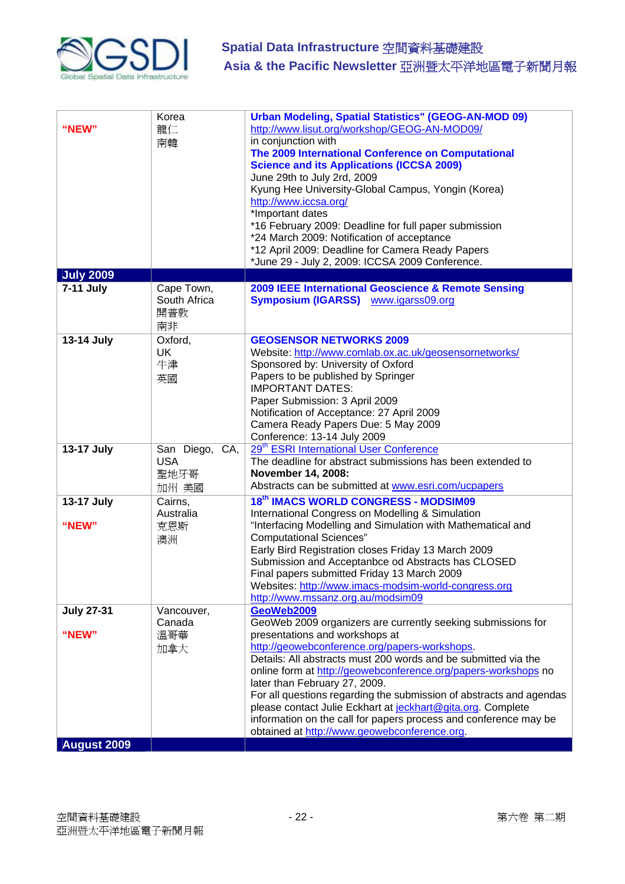

| "NEW"                      | Korea<br>龍仁<br>南韓                             | <b>Urban Modeling, Spatial Statistics" (GEOG-AN-MOD 09)</b><br>http://www.lisut.org/workshop/GEOG-AN-MOD09/<br>in conjunction with<br>The 2009 International Conference on Computational<br><b>Science and its Applications (ICCSA 2009)</b><br>June 29th to July 2rd, 2009<br>Kyung Hee University-Global Campus, Yongin (Korea)<br>http://www.iccsa.org/<br>*Important dates<br>*16 February 2009: Deadline for full paper submission<br>*24 March 2009: Notification of acceptance<br>*12 April 2009: Deadline for Camera Ready Papers<br>*June 29 - July 2, 2009: ICCSA 2009 Conference. |
|----------------------------|-----------------------------------------------|----------------------------------------------------------------------------------------------------------------------------------------------------------------------------------------------------------------------------------------------------------------------------------------------------------------------------------------------------------------------------------------------------------------------------------------------------------------------------------------------------------------------------------------------------------------------------------------------|
| <b>July 2009</b>           |                                               |                                                                                                                                                                                                                                                                                                                                                                                                                                                                                                                                                                                              |
| 7-11 July                  | Cape Town,<br>South Africa<br>開普敦<br>南非       | 2009 IEEE International Geoscience & Remote Sensing<br><b>Symposium (IGARSS)</b> www.igarss09.org                                                                                                                                                                                                                                                                                                                                                                                                                                                                                            |
| 13-14 July                 | Oxford,<br>UK<br>牛津<br>英國                     | <b>GEOSENSOR NETWORKS 2009</b><br>Website: http://www.comlab.ox.ac.uk/geosensornetworks/<br>Sponsored by: University of Oxford<br>Papers to be published by Springer<br><b>IMPORTANT DATES:</b><br>Paper Submission: 3 April 2009<br>Notification of Acceptance: 27 April 2009<br>Camera Ready Papers Due: 5 May 2009<br>Conference: 13-14 July 2009                                                                                                                                                                                                                                         |
| 13-17 July                 | San Diego, CA,<br><b>USA</b><br>聖地牙哥<br>加州 美國 | 29 <sup>th</sup> ESRI International User Conference<br>The deadline for abstract submissions has been extended to<br>November 14, 2008:<br>Abstracts can be submitted at www.esri.com/ucpapers                                                                                                                                                                                                                                                                                                                                                                                               |
| 13-17 July<br>"NEW"        | Cairns,<br>Australia<br>克恩斯<br>澳洲             | 18th IMACS WORLD CONGRESS - MODSIM09<br>International Congress on Modelling & Simulation<br>"Interfacing Modelling and Simulation with Mathematical and<br><b>Computational Sciences"</b><br>Early Bird Registration closes Friday 13 March 2009<br>Submission and Acceptanbce od Abstracts has CLOSED<br>Final papers submitted Friday 13 March 2009<br>Websites: http://www.imacs-modsim-world-congress.org<br>http://www.mssanz.org.au/modsim09                                                                                                                                           |
| <b>July 27-31</b><br>"NEW" | Vancouver,<br>Canada<br>溫哥華<br>加拿大            | GeoWeb2009<br>GeoWeb 2009 organizers are currently seeking submissions for<br>presentations and workshops at<br>http://geowebconference.org/papers-workshops.<br>Details: All abstracts must 200 words and be submitted via the                                                                                                                                                                                                                                                                                                                                                              |
|                            |                                               | online form at http://geowebconference.org/papers-workshops no<br>later than February 27, 2009.<br>For all questions regarding the submission of abstracts and agendas<br>please contact Julie Eckhart at jeckhart@gita.org. Complete<br>information on the call for papers process and conference may be<br>obtained at http://www.geowebconference.org.                                                                                                                                                                                                                                    |
| <b>August 2009</b>         |                                               |                                                                                                                                                                                                                                                                                                                                                                                                                                                                                                                                                                                              |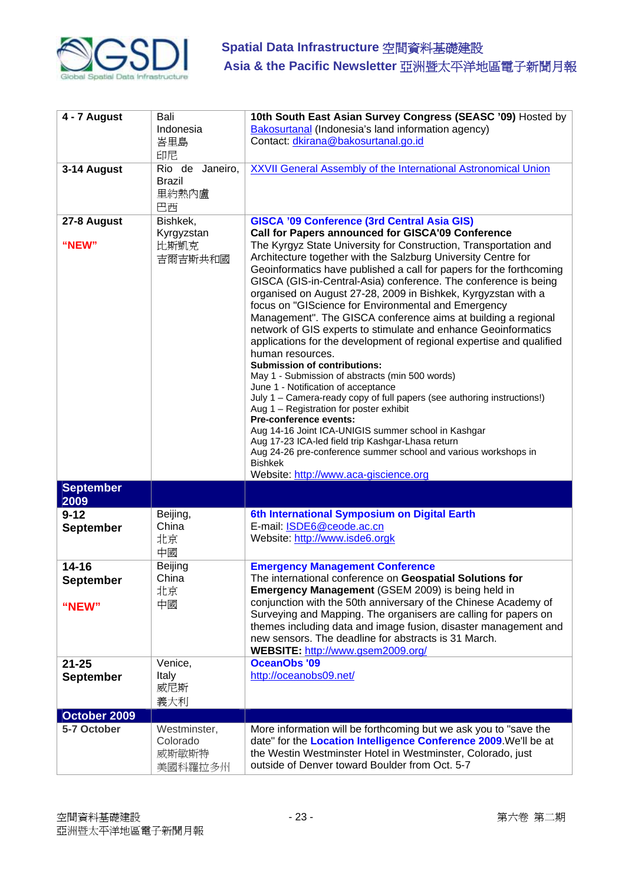

| 4 - 7 August                       | Bali<br>Indonesia<br>峇里島<br>印尼                  | 10th South East Asian Survey Congress (SEASC '09) Hosted by<br>Bakosurtanal (Indonesia's land information agency)<br>Contact: dkirana@bakosurtanal.go.id                                                                                                                                                                                                                                                                                                                                                                                                                                                                                                                                                                                                                                                                                                                                                                                                                                                                                                                                                                                                                                                                                                                        |
|------------------------------------|-------------------------------------------------|---------------------------------------------------------------------------------------------------------------------------------------------------------------------------------------------------------------------------------------------------------------------------------------------------------------------------------------------------------------------------------------------------------------------------------------------------------------------------------------------------------------------------------------------------------------------------------------------------------------------------------------------------------------------------------------------------------------------------------------------------------------------------------------------------------------------------------------------------------------------------------------------------------------------------------------------------------------------------------------------------------------------------------------------------------------------------------------------------------------------------------------------------------------------------------------------------------------------------------------------------------------------------------|
| 3-14 August                        | Rio de Janeiro,<br><b>Brazil</b><br>里約熱內盧<br>巴西 | <b>XXVII General Assembly of the International Astronomical Union</b>                                                                                                                                                                                                                                                                                                                                                                                                                                                                                                                                                                                                                                                                                                                                                                                                                                                                                                                                                                                                                                                                                                                                                                                                           |
| 27-8 August<br>"NEW"               | Bishkek,<br>Kyrgyzstan<br>比斯凱克<br>吉爾吉斯共和國       | <b>GISCA '09 Conference (3rd Central Asia GIS)</b><br>Call for Papers announced for GISCA'09 Conference<br>The Kyrgyz State University for Construction, Transportation and<br>Architecture together with the Salzburg University Centre for<br>Geoinformatics have published a call for papers for the forthcoming<br>GISCA (GIS-in-Central-Asia) conference. The conference is being<br>organised on August 27-28, 2009 in Bishkek, Kyrgyzstan with a<br>focus on "GIScience for Environmental and Emergency<br>Management". The GISCA conference aims at building a regional<br>network of GIS experts to stimulate and enhance Geoinformatics<br>applications for the development of regional expertise and qualified<br>human resources.<br><b>Submission of contributions:</b><br>May 1 - Submission of abstracts (min 500 words)<br>June 1 - Notification of acceptance<br>July 1 - Camera-ready copy of full papers (see authoring instructions!)<br>Aug 1 - Registration for poster exhibit<br><b>Pre-conference events:</b><br>Aug 14-16 Joint ICA-UNIGIS summer school in Kashgar<br>Aug 17-23 ICA-led field trip Kashgar-Lhasa return<br>Aug 24-26 pre-conference summer school and various workshops in<br><b>Bishkek</b><br>Website: http://www.aca-giscience.org |
| <b>September</b><br>2009           |                                                 |                                                                                                                                                                                                                                                                                                                                                                                                                                                                                                                                                                                                                                                                                                                                                                                                                                                                                                                                                                                                                                                                                                                                                                                                                                                                                 |
| $9 - 12$<br>September              | Beijing,<br>China<br>北京<br>中國                   | 6th International Symposium on Digital Earth<br>E-mail: ISDE6@ceode.ac.cn<br>Website: http://www.isde6.orgk                                                                                                                                                                                                                                                                                                                                                                                                                                                                                                                                                                                                                                                                                                                                                                                                                                                                                                                                                                                                                                                                                                                                                                     |
| 14-16<br><b>September</b><br>"NEW" | <b>Beijing</b><br>China<br>北京<br>中國             | <b>Emergency Management Conference</b><br>The international conference on Geospatial Solutions for<br>Emergency Management (GSEM 2009) is being held in<br>conjunction with the 50th anniversary of the Chinese Academy of<br>Surveying and Mapping. The organisers are calling for papers on<br>themes including data and image fusion, disaster management and<br>new sensors. The deadline for abstracts is 31 March.<br>WEBSITE: http://www.gsem2009.org/                                                                                                                                                                                                                                                                                                                                                                                                                                                                                                                                                                                                                                                                                                                                                                                                                   |
| $21 - 25$<br><b>September</b>      | Venice,<br>Italy<br>威尼斯<br>義大利                  | <b>OceanObs '09</b><br>http://oceanobs09.net/                                                                                                                                                                                                                                                                                                                                                                                                                                                                                                                                                                                                                                                                                                                                                                                                                                                                                                                                                                                                                                                                                                                                                                                                                                   |
| October 2009                       |                                                 |                                                                                                                                                                                                                                                                                                                                                                                                                                                                                                                                                                                                                                                                                                                                                                                                                                                                                                                                                                                                                                                                                                                                                                                                                                                                                 |
| 5-7 October                        | Westminster,<br>Colorado<br>威斯敏斯特<br>美國科羅拉多州    | More information will be forthcoming but we ask you to "save the<br>date" for the Location Intelligence Conference 2009. We'll be at<br>the Westin Westminster Hotel in Westminster, Colorado, just<br>outside of Denver toward Boulder from Oct. 5-7                                                                                                                                                                                                                                                                                                                                                                                                                                                                                                                                                                                                                                                                                                                                                                                                                                                                                                                                                                                                                           |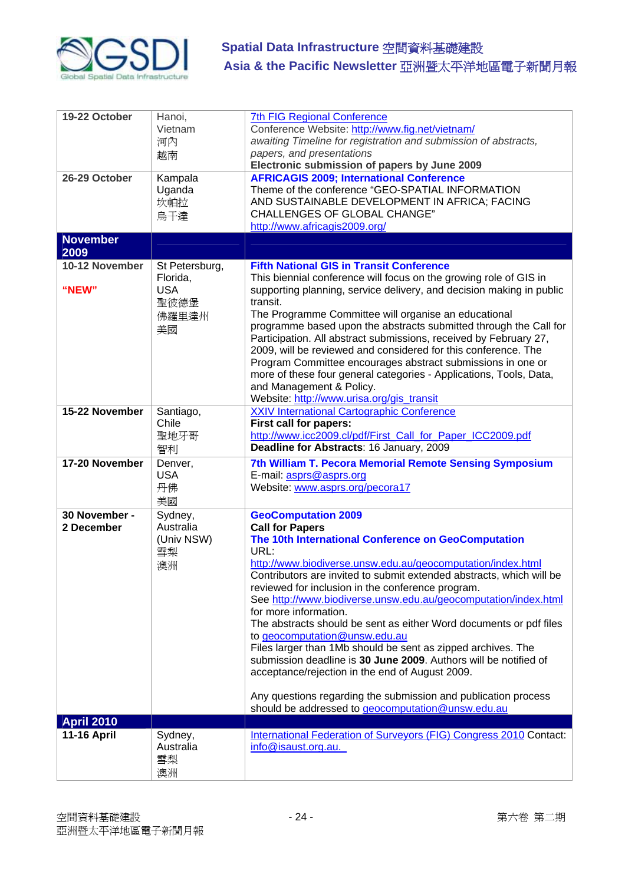

| 19-22 October<br>26-29 October | Hanoi,<br>Vietnam<br>河內<br>越南<br>Kampala<br>Uganda<br>坎帕拉<br>烏干達 | <b>7th FIG Regional Conference</b><br>Conference Website: http://www.fig.net/vietnam/<br>awaiting Timeline for registration and submission of abstracts,<br>papers, and presentations<br>Electronic submission of papers by June 2009<br><b>AFRICAGIS 2009; International Conference</b><br>Theme of the conference "GEO-SPATIAL INFORMATION<br>AND SUSTAINABLE DEVELOPMENT IN AFRICA; FACING<br><b>CHALLENGES OF GLOBAL CHANGE"</b><br>http://www.africagis2009.org/                                                                                                                                                                                                                                                                                                                                                            |
|--------------------------------|------------------------------------------------------------------|----------------------------------------------------------------------------------------------------------------------------------------------------------------------------------------------------------------------------------------------------------------------------------------------------------------------------------------------------------------------------------------------------------------------------------------------------------------------------------------------------------------------------------------------------------------------------------------------------------------------------------------------------------------------------------------------------------------------------------------------------------------------------------------------------------------------------------|
| <b>November</b><br>2009        |                                                                  |                                                                                                                                                                                                                                                                                                                                                                                                                                                                                                                                                                                                                                                                                                                                                                                                                                  |
| 10-12 November<br>"NEW"        | St Petersburg,<br>Florida,<br><b>USA</b><br>聖彼德堡<br>佛羅里達州<br>美國  | <b>Fifth National GIS in Transit Conference</b><br>This biennial conference will focus on the growing role of GIS in<br>supporting planning, service delivery, and decision making in public<br>transit.<br>The Programme Committee will organise an educational<br>programme based upon the abstracts submitted through the Call for<br>Participation. All abstract submissions, received by February 27,<br>2009, will be reviewed and considered for this conference. The<br>Program Committee encourages abstract submissions in one or<br>more of these four general categories - Applications, Tools, Data,<br>and Management & Policy.<br>Website: http://www.urisa.org/gis_transit                                                                                                                                       |
| 15-22 November                 | Santiago,<br>Chile<br>聖地牙哥<br>智利                                 | <b>XXIV International Cartographic Conference</b><br>First call for papers:<br>http://www.icc2009.cl/pdf/First Call for Paper ICC2009.pdf<br>Deadline for Abstracts: 16 January, 2009                                                                                                                                                                                                                                                                                                                                                                                                                                                                                                                                                                                                                                            |
| 17-20 November                 | Denver,<br><b>USA</b><br>丹佛<br>美國                                | 7th William T. Pecora Memorial Remote Sensing Symposium<br>E-mail: asprs@asprs.org<br>Website: www.asprs.org/pecora17                                                                                                                                                                                                                                                                                                                                                                                                                                                                                                                                                                                                                                                                                                            |
| 30 November -<br>2 December    | Sydney,<br>Australia<br>(Univ NSW)<br>雪梨<br>澳洲                   | <b>GeoComputation 2009</b><br><b>Call for Papers</b><br>The 10th International Conference on GeoComputation<br>URL:<br>http://www.biodiverse.unsw.edu.au/geocomputation/index.html<br>Contributors are invited to submit extended abstracts, which will be<br>reviewed for inclusion in the conference program.<br>See http://www.biodiverse.unsw.edu.au/geocomputation/index.html<br>for more information.<br>The abstracts should be sent as either Word documents or pdf files<br>to geocomputation@unsw.edu.au<br>Files larger than 1Mb should be sent as zipped archives. The<br>submission deadline is 30 June 2009. Authors will be notified of<br>acceptance/rejection in the end of August 2009.<br>Any questions regarding the submission and publication process<br>should be addressed to geocomputation@unsw.edu.au |
| <b>April 2010</b>              |                                                                  |                                                                                                                                                                                                                                                                                                                                                                                                                                                                                                                                                                                                                                                                                                                                                                                                                                  |
| <b>11-16 April</b>             | Sydney,<br>Australia<br>雪梨<br>澳洲                                 | International Federation of Surveyors (FIG) Congress 2010 Contact:<br>info@isaust.org.au.                                                                                                                                                                                                                                                                                                                                                                                                                                                                                                                                                                                                                                                                                                                                        |